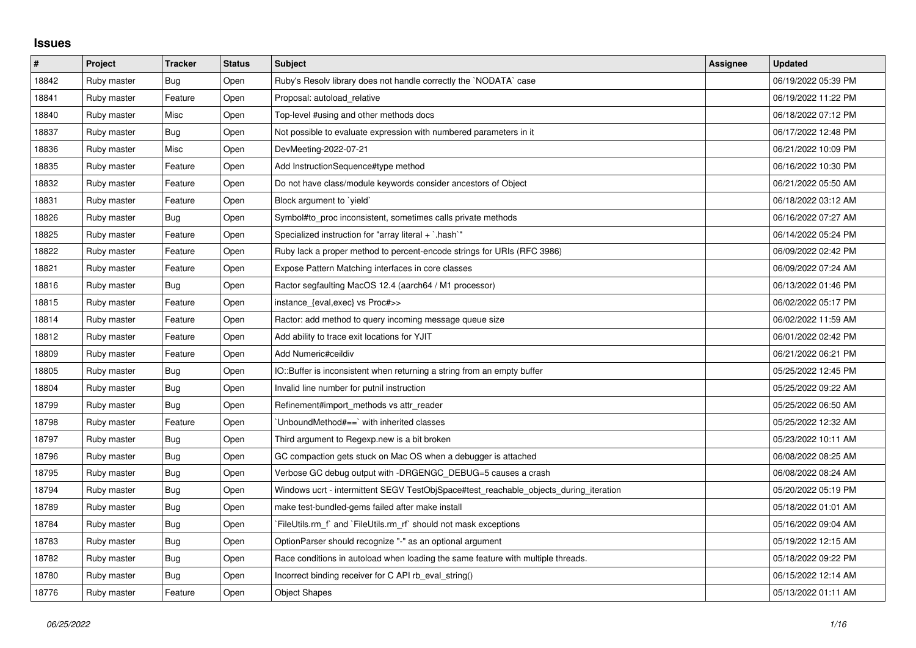## **Issues**

| $\vert$ # | Project     | <b>Tracker</b> | <b>Status</b> | <b>Subject</b>                                                                        | Assignee | <b>Updated</b>      |
|-----------|-------------|----------------|---------------|---------------------------------------------------------------------------------------|----------|---------------------|
| 18842     | Ruby master | Bug            | Open          | Ruby's Resolv library does not handle correctly the `NODATA` case                     |          | 06/19/2022 05:39 PM |
| 18841     | Ruby master | Feature        | Open          | Proposal: autoload relative                                                           |          | 06/19/2022 11:22 PM |
| 18840     | Ruby master | Misc           | Open          | Top-level #using and other methods docs                                               |          | 06/18/2022 07:12 PM |
| 18837     | Ruby master | Bug            | Open          | Not possible to evaluate expression with numbered parameters in it                    |          | 06/17/2022 12:48 PM |
| 18836     | Ruby master | Misc           | Open          | DevMeeting-2022-07-21                                                                 |          | 06/21/2022 10:09 PM |
| 18835     | Ruby master | Feature        | Open          | Add InstructionSequence#type method                                                   |          | 06/16/2022 10:30 PM |
| 18832     | Ruby master | Feature        | Open          | Do not have class/module keywords consider ancestors of Object                        |          | 06/21/2022 05:50 AM |
| 18831     | Ruby master | Feature        | Open          | Block argument to `yield`                                                             |          | 06/18/2022 03:12 AM |
| 18826     | Ruby master | Bug            | Open          | Symbol#to_proc inconsistent, sometimes calls private methods                          |          | 06/16/2022 07:27 AM |
| 18825     | Ruby master | Feature        | Open          | Specialized instruction for "array literal + `.hash`"                                 |          | 06/14/2022 05:24 PM |
| 18822     | Ruby master | Feature        | Open          | Ruby lack a proper method to percent-encode strings for URIs (RFC 3986)               |          | 06/09/2022 02:42 PM |
| 18821     | Ruby master | Feature        | Open          | Expose Pattern Matching interfaces in core classes                                    |          | 06/09/2022 07:24 AM |
| 18816     | Ruby master | <b>Bug</b>     | Open          | Ractor segfaulting MacOS 12.4 (aarch64 / M1 processor)                                |          | 06/13/2022 01:46 PM |
| 18815     | Ruby master | Feature        | Open          | instance_{eval,exec} vs Proc#>>                                                       |          | 06/02/2022 05:17 PM |
| 18814     | Ruby master | Feature        | Open          | Ractor: add method to query incoming message queue size                               |          | 06/02/2022 11:59 AM |
| 18812     | Ruby master | Feature        | Open          | Add ability to trace exit locations for YJIT                                          |          | 06/01/2022 02:42 PM |
| 18809     | Ruby master | Feature        | Open          | Add Numeric#ceildiv                                                                   |          | 06/21/2022 06:21 PM |
| 18805     | Ruby master | <b>Bug</b>     | Open          | IO::Buffer is inconsistent when returning a string from an empty buffer               |          | 05/25/2022 12:45 PM |
| 18804     | Ruby master | Bug            | Open          | Invalid line number for putnil instruction                                            |          | 05/25/2022 09:22 AM |
| 18799     | Ruby master | Bug            | Open          | Refinement#import_methods vs attr_reader                                              |          | 05/25/2022 06:50 AM |
| 18798     | Ruby master | Feature        | Open          | 'UnboundMethod#==' with inherited classes                                             |          | 05/25/2022 12:32 AM |
| 18797     | Ruby master | Bug            | Open          | Third argument to Regexp.new is a bit broken                                          |          | 05/23/2022 10:11 AM |
| 18796     | Ruby master | Bug            | Open          | GC compaction gets stuck on Mac OS when a debugger is attached                        |          | 06/08/2022 08:25 AM |
| 18795     | Ruby master | <b>Bug</b>     | Open          | Verbose GC debug output with -DRGENGC_DEBUG=5 causes a crash                          |          | 06/08/2022 08:24 AM |
| 18794     | Ruby master | Bug            | Open          | Windows ucrt - intermittent SEGV TestObjSpace#test_reachable_objects_during_iteration |          | 05/20/2022 05:19 PM |
| 18789     | Ruby master | <b>Bug</b>     | Open          | make test-bundled-gems failed after make install                                      |          | 05/18/2022 01:01 AM |
| 18784     | Ruby master | <b>Bug</b>     | Open          | FileUtils.rm f and FileUtils.rm rf should not mask exceptions                         |          | 05/16/2022 09:04 AM |
| 18783     | Ruby master | Bug            | Open          | OptionParser should recognize "-" as an optional argument                             |          | 05/19/2022 12:15 AM |
| 18782     | Ruby master | <b>Bug</b>     | Open          | Race conditions in autoload when loading the same feature with multiple threads.      |          | 05/18/2022 09:22 PM |
| 18780     | Ruby master | <b>Bug</b>     | Open          | Incorrect binding receiver for C API rb_eval_string()                                 |          | 06/15/2022 12:14 AM |
| 18776     | Ruby master | Feature        | Open          | <b>Object Shapes</b>                                                                  |          | 05/13/2022 01:11 AM |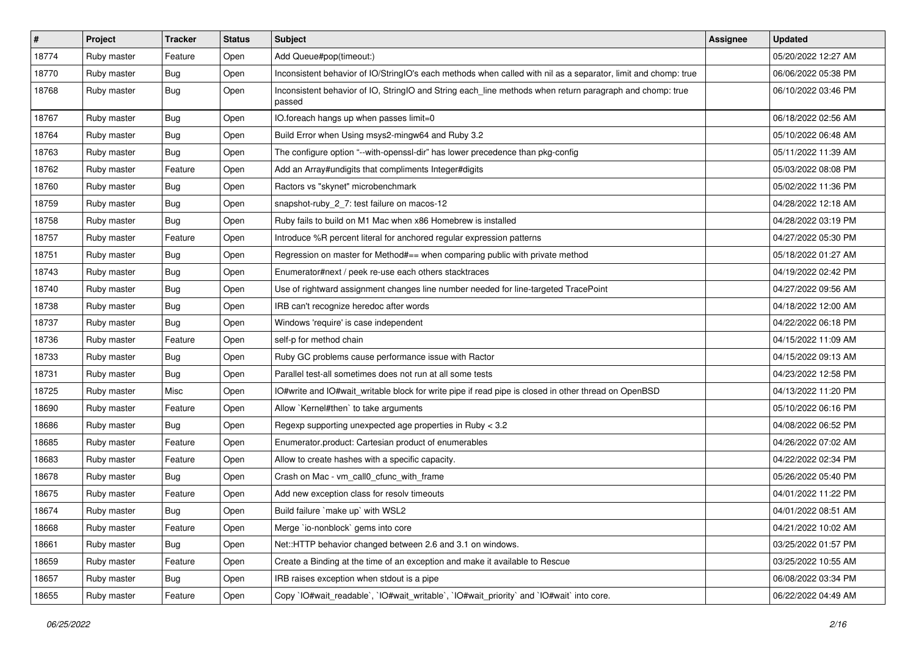| $\vert$ # | Project     | <b>Tracker</b> | <b>Status</b> | Subject                                                                                                            | <b>Assignee</b> | <b>Updated</b>      |
|-----------|-------------|----------------|---------------|--------------------------------------------------------------------------------------------------------------------|-----------------|---------------------|
| 18774     | Ruby master | Feature        | Open          | Add Queue#pop(timeout:)                                                                                            |                 | 05/20/2022 12:27 AM |
| 18770     | Ruby master | <b>Bug</b>     | Open          | Inconsistent behavior of IO/StringIO's each methods when called with nil as a separator, limit and chomp: true     |                 | 06/06/2022 05:38 PM |
| 18768     | Ruby master | <b>Bug</b>     | Open          | Inconsistent behavior of IO, StringIO and String each_line methods when return paragraph and chomp: true<br>passed |                 | 06/10/2022 03:46 PM |
| 18767     | Ruby master | Bug            | Open          | IO.foreach hangs up when passes limit=0                                                                            |                 | 06/18/2022 02:56 AM |
| 18764     | Ruby master | <b>Bug</b>     | Open          | Build Error when Using msys2-mingw64 and Ruby 3.2                                                                  |                 | 05/10/2022 06:48 AM |
| 18763     | Ruby master | <b>Bug</b>     | Open          | The configure option "--with-openssl-dir" has lower precedence than pkg-config                                     |                 | 05/11/2022 11:39 AM |
| 18762     | Ruby master | Feature        | Open          | Add an Array#undigits that compliments Integer#digits                                                              |                 | 05/03/2022 08:08 PM |
| 18760     | Ruby master | <b>Bug</b>     | Open          | Ractors vs "skynet" microbenchmark                                                                                 |                 | 05/02/2022 11:36 PM |
| 18759     | Ruby master | i Bug          | Open          | snapshot-ruby_2_7: test failure on macos-12                                                                        |                 | 04/28/2022 12:18 AM |
| 18758     | Ruby master | <b>Bug</b>     | Open          | Ruby fails to build on M1 Mac when x86 Homebrew is installed                                                       |                 | 04/28/2022 03:19 PM |
| 18757     | Ruby master | Feature        | Open          | Introduce %R percent literal for anchored regular expression patterns                                              |                 | 04/27/2022 05:30 PM |
| 18751     | Ruby master | <b>Bug</b>     | Open          | Regression on master for Method#== when comparing public with private method                                       |                 | 05/18/2022 01:27 AM |
| 18743     | Ruby master | Bug            | Open          | Enumerator#next / peek re-use each others stacktraces                                                              |                 | 04/19/2022 02:42 PM |
| 18740     | Ruby master | Bug            | Open          | Use of rightward assignment changes line number needed for line-targeted TracePoint                                |                 | 04/27/2022 09:56 AM |
| 18738     | Ruby master | <b>Bug</b>     | Open          | IRB can't recognize heredoc after words                                                                            |                 | 04/18/2022 12:00 AM |
| 18737     | Ruby master | <b>Bug</b>     | Open          | Windows 'require' is case independent                                                                              |                 | 04/22/2022 06:18 PM |
| 18736     | Ruby master | Feature        | Open          | self-p for method chain                                                                                            |                 | 04/15/2022 11:09 AM |
| 18733     | Ruby master | <b>Bug</b>     | Open          | Ruby GC problems cause performance issue with Ractor                                                               |                 | 04/15/2022 09:13 AM |
| 18731     | Ruby master | <b>Bug</b>     | Open          | Parallel test-all sometimes does not run at all some tests                                                         |                 | 04/23/2022 12:58 PM |
| 18725     | Ruby master | Misc           | Open          | IO#write and IO#wait_writable block for write pipe if read pipe is closed in other thread on OpenBSD               |                 | 04/13/2022 11:20 PM |
| 18690     | Ruby master | Feature        | Open          | Allow `Kernel#then` to take arguments                                                                              |                 | 05/10/2022 06:16 PM |
| 18686     | Ruby master | <b>Bug</b>     | Open          | Regexp supporting unexpected age properties in Ruby < 3.2                                                          |                 | 04/08/2022 06:52 PM |
| 18685     | Ruby master | Feature        | Open          | Enumerator.product: Cartesian product of enumerables                                                               |                 | 04/26/2022 07:02 AM |
| 18683     | Ruby master | Feature        | Open          | Allow to create hashes with a specific capacity.                                                                   |                 | 04/22/2022 02:34 PM |
| 18678     | Ruby master | <b>Bug</b>     | Open          | Crash on Mac - vm_call0_cfunc_with_frame                                                                           |                 | 05/26/2022 05:40 PM |
| 18675     | Ruby master | Feature        | Open          | Add new exception class for resolv timeouts                                                                        |                 | 04/01/2022 11:22 PM |
| 18674     | Ruby master | <b>Bug</b>     | Open          | Build failure `make up` with WSL2                                                                                  |                 | 04/01/2022 08:51 AM |
| 18668     | Ruby master | Feature        | Open          | Merge `io-nonblock` gems into core                                                                                 |                 | 04/21/2022 10:02 AM |
| 18661     | Ruby master | <b>Bug</b>     | Open          | Net::HTTP behavior changed between 2.6 and 3.1 on windows.                                                         |                 | 03/25/2022 01:57 PM |
| 18659     | Ruby master | Feature        | Open          | Create a Binding at the time of an exception and make it available to Rescue                                       |                 | 03/25/2022 10:55 AM |
| 18657     | Ruby master | <b>Bug</b>     | Open          | IRB raises exception when stdout is a pipe                                                                         |                 | 06/08/2022 03:34 PM |
| 18655     | Ruby master | Feature        | Open          | Copy `IO#wait_readable`, `IO#wait_writable`, `IO#wait_priority` and `IO#wait` into core.                           |                 | 06/22/2022 04:49 AM |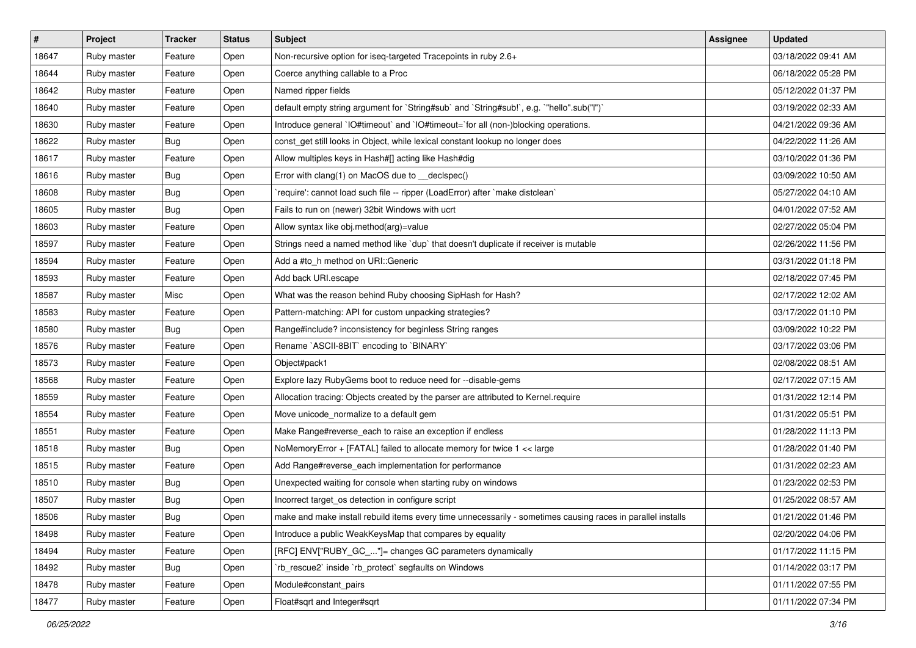| #     | Project     | <b>Tracker</b> | <b>Status</b> | <b>Subject</b>                                                                                              | Assignee | <b>Updated</b>      |
|-------|-------------|----------------|---------------|-------------------------------------------------------------------------------------------------------------|----------|---------------------|
| 18647 | Ruby master | Feature        | Open          | Non-recursive option for iseq-targeted Tracepoints in ruby 2.6+                                             |          | 03/18/2022 09:41 AM |
| 18644 | Ruby master | Feature        | Open          | Coerce anything callable to a Proc                                                                          |          | 06/18/2022 05:28 PM |
| 18642 | Ruby master | Feature        | Open          | Named ripper fields                                                                                         |          | 05/12/2022 01:37 PM |
| 18640 | Ruby master | Feature        | Open          | default empty string argument for `String#sub` and `String#sub!`, e.g. `"hello".sub("I")`                   |          | 03/19/2022 02:33 AM |
| 18630 | Ruby master | Feature        | Open          | Introduce general `IO#timeout` and `IO#timeout=`for all (non-)blocking operations.                          |          | 04/21/2022 09:36 AM |
| 18622 | Ruby master | <b>Bug</b>     | Open          | const_get still looks in Object, while lexical constant lookup no longer does                               |          | 04/22/2022 11:26 AM |
| 18617 | Ruby master | Feature        | Open          | Allow multiples keys in Hash#[] acting like Hash#dig                                                        |          | 03/10/2022 01:36 PM |
| 18616 | Ruby master | Bug            | Open          | Error with clang(1) on MacOS due to _declspec()                                                             |          | 03/09/2022 10:50 AM |
| 18608 | Ruby master | Bug            | Open          | `require': cannot load such file -- ripper (LoadError) after `make distclean`                               |          | 05/27/2022 04:10 AM |
| 18605 | Ruby master | Bug            | Open          | Fails to run on (newer) 32bit Windows with ucrt                                                             |          | 04/01/2022 07:52 AM |
| 18603 | Ruby master | Feature        | Open          | Allow syntax like obj.method(arg)=value                                                                     |          | 02/27/2022 05:04 PM |
| 18597 | Ruby master | Feature        | Open          | Strings need a named method like `dup` that doesn't duplicate if receiver is mutable                        |          | 02/26/2022 11:56 PM |
| 18594 | Ruby master | Feature        | Open          | Add a #to_h method on URI::Generic                                                                          |          | 03/31/2022 01:18 PM |
| 18593 | Ruby master | Feature        | Open          | Add back URI.escape                                                                                         |          | 02/18/2022 07:45 PM |
| 18587 | Ruby master | Misc           | Open          | What was the reason behind Ruby choosing SipHash for Hash?                                                  |          | 02/17/2022 12:02 AM |
| 18583 | Ruby master | Feature        | Open          | Pattern-matching: API for custom unpacking strategies?                                                      |          | 03/17/2022 01:10 PM |
| 18580 | Ruby master | Bug            | Open          | Range#include? inconsistency for beginless String ranges                                                    |          | 03/09/2022 10:22 PM |
| 18576 | Ruby master | Feature        | Open          | Rename `ASCII-8BIT` encoding to `BINARY`                                                                    |          | 03/17/2022 03:06 PM |
| 18573 | Ruby master | Feature        | Open          | Object#pack1                                                                                                |          | 02/08/2022 08:51 AM |
| 18568 | Ruby master | Feature        | Open          | Explore lazy RubyGems boot to reduce need for --disable-gems                                                |          | 02/17/2022 07:15 AM |
| 18559 | Ruby master | Feature        | Open          | Allocation tracing: Objects created by the parser are attributed to Kernel.require                          |          | 01/31/2022 12:14 PM |
| 18554 | Ruby master | Feature        | Open          | Move unicode_normalize to a default gem                                                                     |          | 01/31/2022 05:51 PM |
| 18551 | Ruby master | Feature        | Open          | Make Range#reverse_each to raise an exception if endless                                                    |          | 01/28/2022 11:13 PM |
| 18518 | Ruby master | Bug            | Open          | NoMemoryError + [FATAL] failed to allocate memory for twice 1 << large                                      |          | 01/28/2022 01:40 PM |
| 18515 | Ruby master | Feature        | Open          | Add Range#reverse_each implementation for performance                                                       |          | 01/31/2022 02:23 AM |
| 18510 | Ruby master | Bug            | Open          | Unexpected waiting for console when starting ruby on windows                                                |          | 01/23/2022 02:53 PM |
| 18507 | Ruby master | Bug            | Open          | Incorrect target os detection in configure script                                                           |          | 01/25/2022 08:57 AM |
| 18506 | Ruby master | <b>Bug</b>     | Open          | make and make install rebuild items every time unnecessarily - sometimes causing races in parallel installs |          | 01/21/2022 01:46 PM |
| 18498 | Ruby master | Feature        | Open          | Introduce a public WeakKeysMap that compares by equality                                                    |          | 02/20/2022 04:06 PM |
| 18494 | Ruby master | Feature        | Open          | [RFC] ENV["RUBY_GC_"]= changes GC parameters dynamically                                                    |          | 01/17/2022 11:15 PM |
| 18492 | Ruby master | <b>Bug</b>     | Open          | `rb rescue2` inside `rb protect` segfaults on Windows                                                       |          | 01/14/2022 03:17 PM |
| 18478 | Ruby master | Feature        | Open          | Module#constant_pairs                                                                                       |          | 01/11/2022 07:55 PM |
| 18477 | Ruby master | Feature        | Open          | Float#sqrt and Integer#sqrt                                                                                 |          | 01/11/2022 07:34 PM |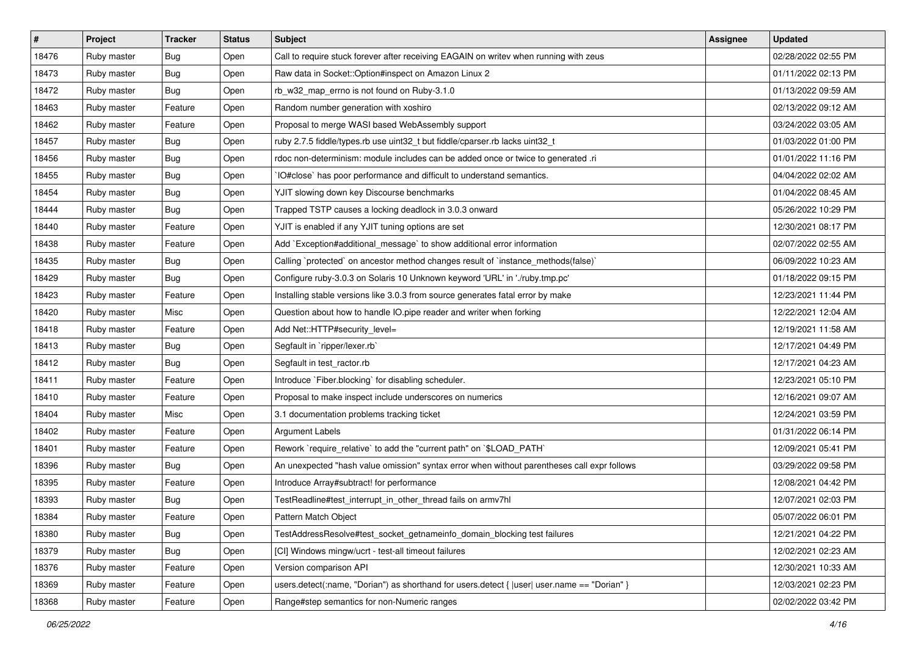| $\vert$ # | Project     | <b>Tracker</b> | <b>Status</b> | <b>Subject</b>                                                                                 | Assignee | <b>Updated</b>      |
|-----------|-------------|----------------|---------------|------------------------------------------------------------------------------------------------|----------|---------------------|
| 18476     | Ruby master | <b>Bug</b>     | Open          | Call to require stuck forever after receiving EAGAIN on writev when running with zeus          |          | 02/28/2022 02:55 PM |
| 18473     | Ruby master | <b>Bug</b>     | Open          | Raw data in Socket:: Option#inspect on Amazon Linux 2                                          |          | 01/11/2022 02:13 PM |
| 18472     | Ruby master | Bug            | Open          | rb_w32_map_errno is not found on Ruby-3.1.0                                                    |          | 01/13/2022 09:59 AM |
| 18463     | Ruby master | Feature        | Open          | Random number generation with xoshiro                                                          |          | 02/13/2022 09:12 AM |
| 18462     | Ruby master | Feature        | Open          | Proposal to merge WASI based WebAssembly support                                               |          | 03/24/2022 03:05 AM |
| 18457     | Ruby master | <b>Bug</b>     | Open          | ruby 2.7.5 fiddle/types.rb use uint32_t but fiddle/cparser.rb lacks uint32_t                   |          | 01/03/2022 01:00 PM |
| 18456     | Ruby master | Bug            | Open          | rdoc non-determinism: module includes can be added once or twice to generated .ri              |          | 01/01/2022 11:16 PM |
| 18455     | Ruby master | <b>Bug</b>     | Open          | IO#close` has poor performance and difficult to understand semantics.                          |          | 04/04/2022 02:02 AM |
| 18454     | Ruby master | Bug            | Open          | YJIT slowing down key Discourse benchmarks                                                     |          | 01/04/2022 08:45 AM |
| 18444     | Ruby master | <b>Bug</b>     | Open          | Trapped TSTP causes a locking deadlock in 3.0.3 onward                                         |          | 05/26/2022 10:29 PM |
| 18440     | Ruby master | Feature        | Open          | YJIT is enabled if any YJIT tuning options are set                                             |          | 12/30/2021 08:17 PM |
| 18438     | Ruby master | Feature        | Open          | Add `Exception#additional_message` to show additional error information                        |          | 02/07/2022 02:55 AM |
| 18435     | Ruby master | <b>Bug</b>     | Open          | Calling `protected` on ancestor method changes result of `instance_methods(false)`             |          | 06/09/2022 10:23 AM |
| 18429     | Ruby master | Bug            | Open          | Configure ruby-3.0.3 on Solaris 10 Unknown keyword 'URL' in './ruby.tmp.pc'                    |          | 01/18/2022 09:15 PM |
| 18423     | Ruby master | Feature        | Open          | Installing stable versions like 3.0.3 from source generates fatal error by make                |          | 12/23/2021 11:44 PM |
| 18420     | Ruby master | Misc           | Open          | Question about how to handle IO.pipe reader and writer when forking                            |          | 12/22/2021 12:04 AM |
| 18418     | Ruby master | Feature        | Open          | Add Net::HTTP#security_level=                                                                  |          | 12/19/2021 11:58 AM |
| 18413     | Ruby master | <b>Bug</b>     | Open          | Segfault in `ripper/lexer.rb`                                                                  |          | 12/17/2021 04:49 PM |
| 18412     | Ruby master | <b>Bug</b>     | Open          | Segfault in test_ractor.rb                                                                     |          | 12/17/2021 04:23 AM |
| 18411     | Ruby master | Feature        | Open          | Introduce `Fiber.blocking` for disabling scheduler.                                            |          | 12/23/2021 05:10 PM |
| 18410     | Ruby master | Feature        | Open          | Proposal to make inspect include underscores on numerics                                       |          | 12/16/2021 09:07 AM |
| 18404     | Ruby master | Misc           | Open          | 3.1 documentation problems tracking ticket                                                     |          | 12/24/2021 03:59 PM |
| 18402     | Ruby master | Feature        | Open          | Argument Labels                                                                                |          | 01/31/2022 06:14 PM |
| 18401     | Ruby master | Feature        | Open          | Rework `require_relative` to add the "current path" on `\$LOAD_PATH`                           |          | 12/09/2021 05:41 PM |
| 18396     | Ruby master | Bug            | Open          | An unexpected "hash value omission" syntax error when without parentheses call expr follows    |          | 03/29/2022 09:58 PM |
| 18395     | Ruby master | Feature        | Open          | Introduce Array#subtract! for performance                                                      |          | 12/08/2021 04:42 PM |
| 18393     | Ruby master | <b>Bug</b>     | Open          | TestReadline#test_interrupt_in_other_thread fails on armv7hl                                   |          | 12/07/2021 02:03 PM |
| 18384     | Ruby master | Feature        | Open          | Pattern Match Object                                                                           |          | 05/07/2022 06:01 PM |
| 18380     | Ruby master | Bug            | Open          | TestAddressResolve#test_socket_getnameinfo_domain_blocking test failures                       |          | 12/21/2021 04:22 PM |
| 18379     | Ruby master | <b>Bug</b>     | Open          | [CI] Windows mingw/ucrt - test-all timeout failures                                            |          | 12/02/2021 02:23 AM |
| 18376     | Ruby master | Feature        | Open          | Version comparison API                                                                         |          | 12/30/2021 10:33 AM |
| 18369     | Ruby master | Feature        | Open          | users.detect(:name, "Dorian") as shorthand for users.detect { $ user $ user.name == "Dorian" } |          | 12/03/2021 02:23 PM |
| 18368     | Ruby master | Feature        | Open          | Range#step semantics for non-Numeric ranges                                                    |          | 02/02/2022 03:42 PM |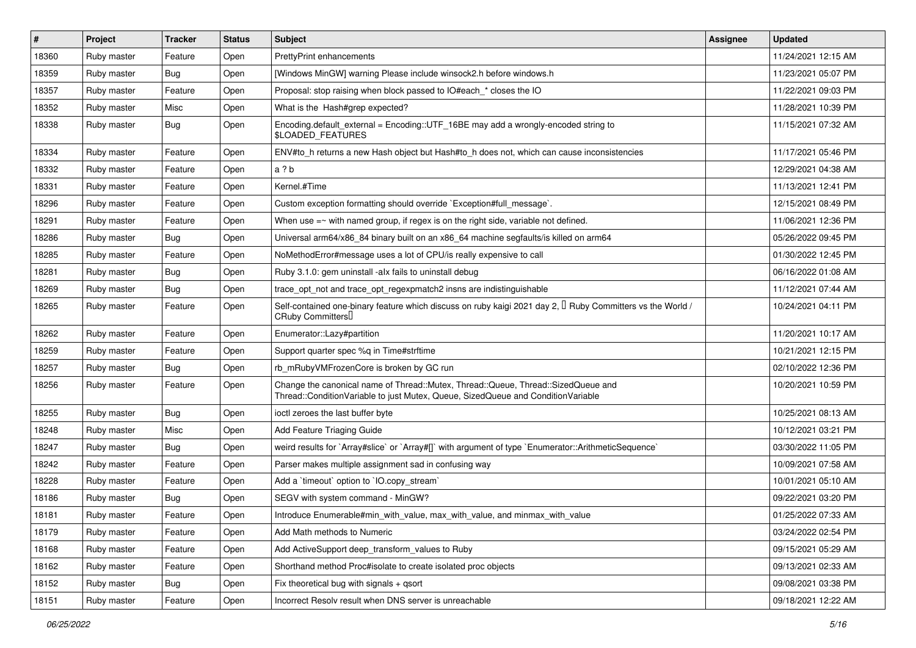| $\vert$ # | Project     | <b>Tracker</b> | <b>Status</b> | <b>Subject</b>                                                                                                                                                        | <b>Assignee</b> | <b>Updated</b>      |
|-----------|-------------|----------------|---------------|-----------------------------------------------------------------------------------------------------------------------------------------------------------------------|-----------------|---------------------|
| 18360     | Ruby master | Feature        | Open          | PrettyPrint enhancements                                                                                                                                              |                 | 11/24/2021 12:15 AM |
| 18359     | Ruby master | Bug            | Open          | [Windows MinGW] warning Please include winsock2.h before windows.h                                                                                                    |                 | 11/23/2021 05:07 PM |
| 18357     | Ruby master | Feature        | Open          | Proposal: stop raising when block passed to IO#each_* closes the IO                                                                                                   |                 | 11/22/2021 09:03 PM |
| 18352     | Ruby master | Misc           | Open          | What is the Hash#grep expected?                                                                                                                                       |                 | 11/28/2021 10:39 PM |
| 18338     | Ruby master | Bug            | Open          | Encoding.default_external = Encoding::UTF_16BE may add a wrongly-encoded string to<br>\$LOADED_FEATURES                                                               |                 | 11/15/2021 07:32 AM |
| 18334     | Ruby master | Feature        | Open          | ENV#to_h returns a new Hash object but Hash#to_h does not, which can cause inconsistencies                                                                            |                 | 11/17/2021 05:46 PM |
| 18332     | Ruby master | Feature        | Open          | a?b                                                                                                                                                                   |                 | 12/29/2021 04:38 AM |
| 18331     | Ruby master | Feature        | Open          | Kernel.#Time                                                                                                                                                          |                 | 11/13/2021 12:41 PM |
| 18296     | Ruby master | Feature        | Open          | Custom exception formatting should override `Exception#full_message`.                                                                                                 |                 | 12/15/2021 08:49 PM |
| 18291     | Ruby master | Feature        | Open          | When use $=\sim$ with named group, if regex is on the right side, variable not defined.                                                                               |                 | 11/06/2021 12:36 PM |
| 18286     | Ruby master | <b>Bug</b>     | Open          | Universal arm64/x86_84 binary built on an x86_64 machine segfaults/is killed on arm64                                                                                 |                 | 05/26/2022 09:45 PM |
| 18285     | Ruby master | Feature        | Open          | NoMethodError#message uses a lot of CPU/is really expensive to call                                                                                                   |                 | 01/30/2022 12:45 PM |
| 18281     | Ruby master | <b>Bug</b>     | Open          | Ruby 3.1.0: gem uninstall -alx fails to uninstall debug                                                                                                               |                 | 06/16/2022 01:08 AM |
| 18269     | Ruby master | Bug            | Open          | trace_opt_not and trace_opt_regexpmatch2 insns are indistinguishable                                                                                                  |                 | 11/12/2021 07:44 AM |
| 18265     | Ruby master | Feature        | Open          | Self-contained one-binary feature which discuss on ruby kaigi 2021 day 2, $\Box$ Ruby Committers vs the World /<br>CRuby Committers                                   |                 | 10/24/2021 04:11 PM |
| 18262     | Ruby master | Feature        | Open          | Enumerator::Lazy#partition                                                                                                                                            |                 | 11/20/2021 10:17 AM |
| 18259     | Ruby master | Feature        | Open          | Support quarter spec %q in Time#strftime                                                                                                                              |                 | 10/21/2021 12:15 PM |
| 18257     | Ruby master | <b>Bug</b>     | Open          | rb_mRubyVMFrozenCore is broken by GC run                                                                                                                              |                 | 02/10/2022 12:36 PM |
| 18256     | Ruby master | Feature        | Open          | Change the canonical name of Thread::Mutex, Thread::Queue, Thread::SizedQueue and<br>Thread::ConditionVariable to just Mutex, Queue, SizedQueue and ConditionVariable |                 | 10/20/2021 10:59 PM |
| 18255     | Ruby master | Bug            | Open          | ioctl zeroes the last buffer byte                                                                                                                                     |                 | 10/25/2021 08:13 AM |
| 18248     | Ruby master | Misc           | Open          | Add Feature Triaging Guide                                                                                                                                            |                 | 10/12/2021 03:21 PM |
| 18247     | Ruby master | <b>Bug</b>     | Open          | weird results for `Array#slice` or `Array#[]` with argument of type `Enumerator::ArithmeticSequence`                                                                  |                 | 03/30/2022 11:05 PM |
| 18242     | Ruby master | Feature        | Open          | Parser makes multiple assignment sad in confusing way                                                                                                                 |                 | 10/09/2021 07:58 AM |
| 18228     | Ruby master | Feature        | Open          | Add a 'timeout' option to 'IO.copy_stream'                                                                                                                            |                 | 10/01/2021 05:10 AM |
| 18186     | Ruby master | <b>Bug</b>     | Open          | SEGV with system command - MinGW?                                                                                                                                     |                 | 09/22/2021 03:20 PM |
| 18181     | Ruby master | Feature        | Open          | Introduce Enumerable#min_with_value, max_with_value, and minmax_with_value                                                                                            |                 | 01/25/2022 07:33 AM |
| 18179     | Ruby master | Feature        | Open          | Add Math methods to Numeric                                                                                                                                           |                 | 03/24/2022 02:54 PM |
| 18168     | Ruby master | Feature        | Open          | Add ActiveSupport deep transform values to Ruby                                                                                                                       |                 | 09/15/2021 05:29 AM |
| 18162     | Ruby master | Feature        | Open          | Shorthand method Proc#isolate to create isolated proc objects                                                                                                         |                 | 09/13/2021 02:33 AM |
| 18152     | Ruby master | Bug            | Open          | Fix theoretical bug with signals + qsort                                                                                                                              |                 | 09/08/2021 03:38 PM |
| 18151     | Ruby master | Feature        | Open          | Incorrect Resolv result when DNS server is unreachable                                                                                                                |                 | 09/18/2021 12:22 AM |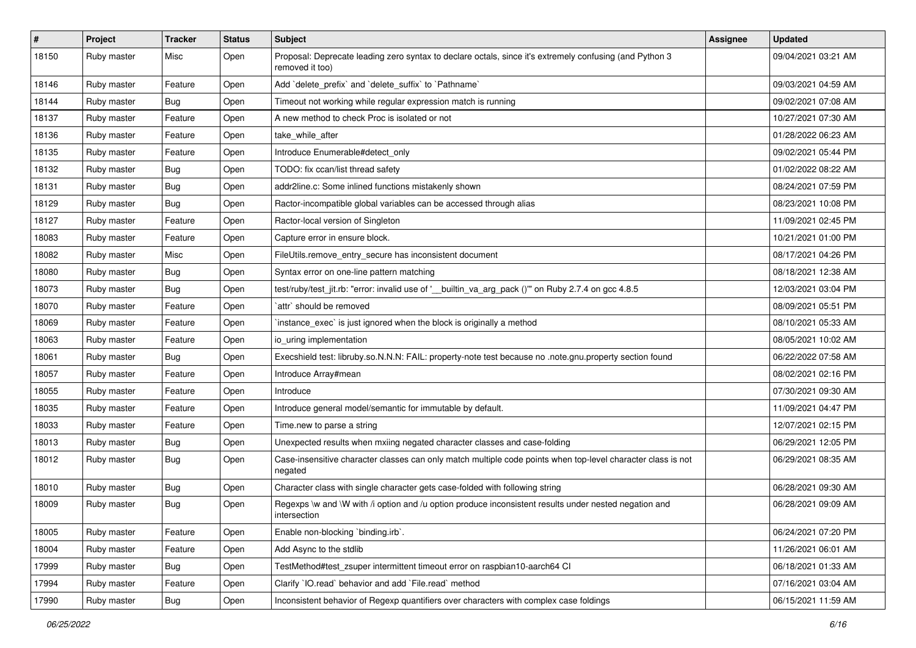| $\sharp$ | Project     | <b>Tracker</b> | <b>Status</b> | <b>Subject</b>                                                                                                             | Assignee | <b>Updated</b>      |
|----------|-------------|----------------|---------------|----------------------------------------------------------------------------------------------------------------------------|----------|---------------------|
| 18150    | Ruby master | Misc           | Open          | Proposal: Deprecate leading zero syntax to declare octals, since it's extremely confusing (and Python 3<br>removed it too) |          | 09/04/2021 03:21 AM |
| 18146    | Ruby master | Feature        | Open          | Add 'delete_prefix' and 'delete_suffix' to 'Pathname'                                                                      |          | 09/03/2021 04:59 AM |
| 18144    | Ruby master | <b>Bug</b>     | Open          | Timeout not working while regular expression match is running                                                              |          | 09/02/2021 07:08 AM |
| 18137    | Ruby master | Feature        | Open          | A new method to check Proc is isolated or not                                                                              |          | 10/27/2021 07:30 AM |
| 18136    | Ruby master | Feature        | Open          | take_while_after                                                                                                           |          | 01/28/2022 06:23 AM |
| 18135    | Ruby master | Feature        | Open          | Introduce Enumerable#detect_only                                                                                           |          | 09/02/2021 05:44 PM |
| 18132    | Ruby master | Bug            | Open          | TODO: fix ccan/list thread safety                                                                                          |          | 01/02/2022 08:22 AM |
| 18131    | Ruby master | <b>Bug</b>     | Open          | addr2line.c: Some inlined functions mistakenly shown                                                                       |          | 08/24/2021 07:59 PM |
| 18129    | Ruby master | Bug            | Open          | Ractor-incompatible global variables can be accessed through alias                                                         |          | 08/23/2021 10:08 PM |
| 18127    | Ruby master | Feature        | Open          | Ractor-local version of Singleton                                                                                          |          | 11/09/2021 02:45 PM |
| 18083    | Ruby master | Feature        | Open          | Capture error in ensure block.                                                                                             |          | 10/21/2021 01:00 PM |
| 18082    | Ruby master | Misc           | Open          | FileUtils.remove_entry_secure has inconsistent document                                                                    |          | 08/17/2021 04:26 PM |
| 18080    | Ruby master | <b>Bug</b>     | Open          | Syntax error on one-line pattern matching                                                                                  |          | 08/18/2021 12:38 AM |
| 18073    | Ruby master | Bug            | Open          | test/ruby/test_jit.rb: "error: invalid use of '__builtin_va_arg_pack ()" on Ruby 2.7.4 on gcc 4.8.5                        |          | 12/03/2021 03:04 PM |
| 18070    | Ruby master | Feature        | Open          | `attr` should be removed                                                                                                   |          | 08/09/2021 05:51 PM |
| 18069    | Ruby master | Feature        | Open          | 'instance_exec' is just ignored when the block is originally a method                                                      |          | 08/10/2021 05:33 AM |
| 18063    | Ruby master | Feature        | Open          | io_uring implementation                                                                                                    |          | 08/05/2021 10:02 AM |
| 18061    | Ruby master | <b>Bug</b>     | Open          | Execshield test: libruby.so.N.N.N: FAIL: property-note test because no .note.gnu.property section found                    |          | 06/22/2022 07:58 AM |
| 18057    | Ruby master | Feature        | Open          | Introduce Array#mean                                                                                                       |          | 08/02/2021 02:16 PM |
| 18055    | Ruby master | Feature        | Open          | Introduce                                                                                                                  |          | 07/30/2021 09:30 AM |
| 18035    | Ruby master | Feature        | Open          | Introduce general model/semantic for immutable by default.                                                                 |          | 11/09/2021 04:47 PM |
| 18033    | Ruby master | Feature        | Open          | Time.new to parse a string                                                                                                 |          | 12/07/2021 02:15 PM |
| 18013    | Ruby master | <b>Bug</b>     | Open          | Unexpected results when mxiing negated character classes and case-folding                                                  |          | 06/29/2021 12:05 PM |
| 18012    | Ruby master | Bug            | Open          | Case-insensitive character classes can only match multiple code points when top-level character class is not<br>negated    |          | 06/29/2021 08:35 AM |
| 18010    | Ruby master | <b>Bug</b>     | Open          | Character class with single character gets case-folded with following string                                               |          | 06/28/2021 09:30 AM |
| 18009    | Ruby master | <b>Bug</b>     | Open          | Regexps \w and \W with /i option and /u option produce inconsistent results under nested negation and<br>intersection      |          | 06/28/2021 09:09 AM |
| 18005    | Ruby master | Feature        | Open          | Enable non-blocking `binding.irb`.                                                                                         |          | 06/24/2021 07:20 PM |
| 18004    | Ruby master | Feature        | Open          | Add Async to the stdlib                                                                                                    |          | 11/26/2021 06:01 AM |
| 17999    | Ruby master | <b>Bug</b>     | Open          | TestMethod#test_zsuper intermittent timeout error on raspbian10-aarch64 CI                                                 |          | 06/18/2021 01:33 AM |
| 17994    | Ruby master | Feature        | Open          | Clarify `IO.read` behavior and add `File.read` method                                                                      |          | 07/16/2021 03:04 AM |
| 17990    | Ruby master | Bug            | Open          | Inconsistent behavior of Regexp quantifiers over characters with complex case foldings                                     |          | 06/15/2021 11:59 AM |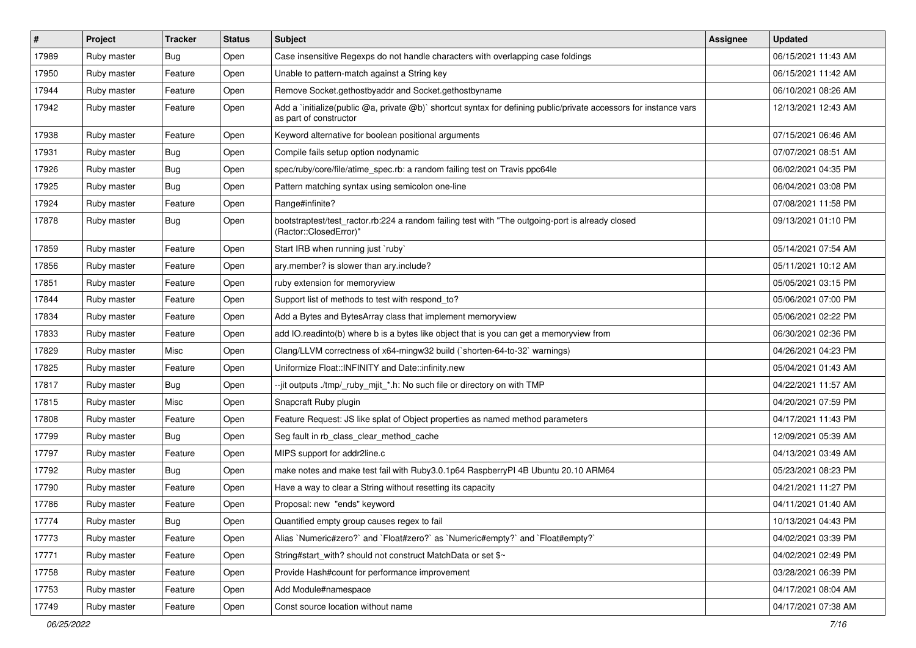| $\vert$ # | Project     | <b>Tracker</b> | <b>Status</b> | <b>Subject</b>                                                                                                                              | Assignee | <b>Updated</b>      |
|-----------|-------------|----------------|---------------|---------------------------------------------------------------------------------------------------------------------------------------------|----------|---------------------|
| 17989     | Ruby master | <b>Bug</b>     | Open          | Case insensitive Regexps do not handle characters with overlapping case foldings                                                            |          | 06/15/2021 11:43 AM |
| 17950     | Ruby master | Feature        | Open          | Unable to pattern-match against a String key                                                                                                |          | 06/15/2021 11:42 AM |
| 17944     | Ruby master | Feature        | Open          | Remove Socket.gethostbyaddr and Socket.gethostbyname                                                                                        |          | 06/10/2021 08:26 AM |
| 17942     | Ruby master | Feature        | Open          | Add a `initialize(public @a, private @b)` shortcut syntax for defining public/private accessors for instance vars<br>as part of constructor |          | 12/13/2021 12:43 AM |
| 17938     | Ruby master | Feature        | Open          | Keyword alternative for boolean positional arguments                                                                                        |          | 07/15/2021 06:46 AM |
| 17931     | Ruby master | <b>Bug</b>     | Open          | Compile fails setup option nodynamic                                                                                                        |          | 07/07/2021 08:51 AM |
| 17926     | Ruby master | <b>Bug</b>     | Open          | spec/ruby/core/file/atime_spec.rb: a random failing test on Travis ppc64le                                                                  |          | 06/02/2021 04:35 PM |
| 17925     | Ruby master | <b>Bug</b>     | Open          | Pattern matching syntax using semicolon one-line                                                                                            |          | 06/04/2021 03:08 PM |
| 17924     | Ruby master | Feature        | Open          | Range#infinite?                                                                                                                             |          | 07/08/2021 11:58 PM |
| 17878     | Ruby master | Bug            | Open          | bootstraptest/test_ractor.rb:224 a random failing test with "The outgoing-port is already closed<br>(Ractor::ClosedError)"                  |          | 09/13/2021 01:10 PM |
| 17859     | Ruby master | Feature        | Open          | Start IRB when running just `ruby`                                                                                                          |          | 05/14/2021 07:54 AM |
| 17856     | Ruby master | Feature        | Open          | ary.member? is slower than ary.include?                                                                                                     |          | 05/11/2021 10:12 AM |
| 17851     | Ruby master | Feature        | Open          | ruby extension for memoryview                                                                                                               |          | 05/05/2021 03:15 PM |
| 17844     | Ruby master | Feature        | Open          | Support list of methods to test with respond_to?                                                                                            |          | 05/06/2021 07:00 PM |
| 17834     | Ruby master | Feature        | Open          | Add a Bytes and BytesArray class that implement memoryview                                                                                  |          | 05/06/2021 02:22 PM |
| 17833     | Ruby master | Feature        | Open          | add IO.readinto(b) where b is a bytes like object that is you can get a memoryview from                                                     |          | 06/30/2021 02:36 PM |
| 17829     | Ruby master | Misc           | Open          | Clang/LLVM correctness of x64-mingw32 build (`shorten-64-to-32` warnings)                                                                   |          | 04/26/2021 04:23 PM |
| 17825     | Ruby master | Feature        | Open          | Uniformize Float::INFINITY and Date::infinity.new                                                                                           |          | 05/04/2021 01:43 AM |
| 17817     | Ruby master | <b>Bug</b>     | Open          | --jit outputs ./tmp/_ruby_mjit_*.h: No such file or directory on with TMP                                                                   |          | 04/22/2021 11:57 AM |
| 17815     | Ruby master | Misc           | Open          | Snapcraft Ruby plugin                                                                                                                       |          | 04/20/2021 07:59 PM |
| 17808     | Ruby master | Feature        | Open          | Feature Request: JS like splat of Object properties as named method parameters                                                              |          | 04/17/2021 11:43 PM |
| 17799     | Ruby master | Bug            | Open          | Seg fault in rb class clear method cache                                                                                                    |          | 12/09/2021 05:39 AM |
| 17797     | Ruby master | Feature        | Open          | MIPS support for addr2line.c                                                                                                                |          | 04/13/2021 03:49 AM |
| 17792     | Ruby master | <b>Bug</b>     | Open          | make notes and make test fail with Ruby3.0.1p64 RaspberryPI 4B Ubuntu 20.10 ARM64                                                           |          | 05/23/2021 08:23 PM |
| 17790     | Ruby master | Feature        | Open          | Have a way to clear a String without resetting its capacity                                                                                 |          | 04/21/2021 11:27 PM |
| 17786     | Ruby master | Feature        | Open          | Proposal: new "ends" keyword                                                                                                                |          | 04/11/2021 01:40 AM |
| 17774     | Ruby master | Bug            | Open          | Quantified empty group causes regex to fail                                                                                                 |          | 10/13/2021 04:43 PM |
| 17773     | Ruby master | Feature        | Open          | Alias `Numeric#zero?` and `Float#zero?` as `Numeric#empty?` and `Float#empty?`                                                              |          | 04/02/2021 03:39 PM |
| 17771     | Ruby master | Feature        | Open          | String#start_with? should not construct MatchData or set \$~                                                                                |          | 04/02/2021 02:49 PM |
| 17758     | Ruby master | Feature        | Open          | Provide Hash#count for performance improvement                                                                                              |          | 03/28/2021 06:39 PM |
| 17753     | Ruby master | Feature        | Open          | Add Module#namespace                                                                                                                        |          | 04/17/2021 08:04 AM |
| 17749     | Ruby master | Feature        | Open          | Const source location without name                                                                                                          |          | 04/17/2021 07:38 AM |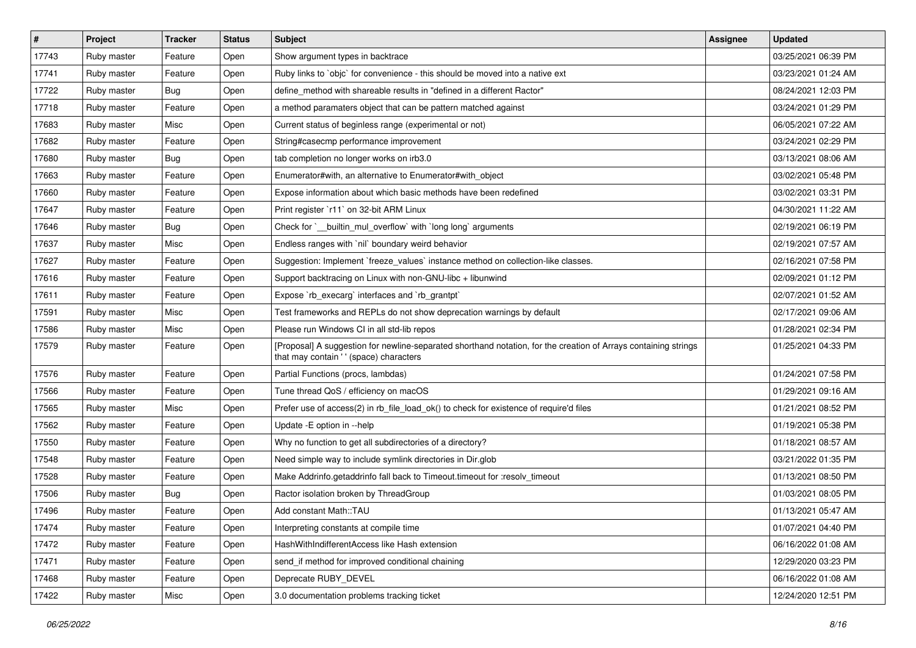| $\vert$ # | Project     | <b>Tracker</b> | <b>Status</b> | <b>Subject</b>                                                                                                                                             | Assignee | <b>Updated</b>      |
|-----------|-------------|----------------|---------------|------------------------------------------------------------------------------------------------------------------------------------------------------------|----------|---------------------|
| 17743     | Ruby master | Feature        | Open          | Show argument types in backtrace                                                                                                                           |          | 03/25/2021 06:39 PM |
| 17741     | Ruby master | Feature        | Open          | Ruby links to `objc` for convenience - this should be moved into a native ext                                                                              |          | 03/23/2021 01:24 AM |
| 17722     | Ruby master | Bug            | Open          | define method with shareable results in "defined in a different Ractor"                                                                                    |          | 08/24/2021 12:03 PM |
| 17718     | Ruby master | Feature        | Open          | a method paramaters object that can be pattern matched against                                                                                             |          | 03/24/2021 01:29 PM |
| 17683     | Ruby master | Misc           | Open          | Current status of beginless range (experimental or not)                                                                                                    |          | 06/05/2021 07:22 AM |
| 17682     | Ruby master | Feature        | Open          | String#casecmp performance improvement                                                                                                                     |          | 03/24/2021 02:29 PM |
| 17680     | Ruby master | <b>Bug</b>     | Open          | tab completion no longer works on irb3.0                                                                                                                   |          | 03/13/2021 08:06 AM |
| 17663     | Ruby master | Feature        | Open          | Enumerator#with, an alternative to Enumerator#with object                                                                                                  |          | 03/02/2021 05:48 PM |
| 17660     | Ruby master | Feature        | Open          | Expose information about which basic methods have been redefined                                                                                           |          | 03/02/2021 03:31 PM |
| 17647     | Ruby master | Feature        | Open          | Print register `r11` on 32-bit ARM Linux                                                                                                                   |          | 04/30/2021 11:22 AM |
| 17646     | Ruby master | Bug            | Open          | Check for `_builtin_mul_overflow` with `long long` arguments                                                                                               |          | 02/19/2021 06:19 PM |
| 17637     | Ruby master | Misc           | Open          | Endless ranges with 'nil' boundary weird behavior                                                                                                          |          | 02/19/2021 07:57 AM |
| 17627     | Ruby master | Feature        | Open          | Suggestion: Implement `freeze_values` instance method on collection-like classes.                                                                          |          | 02/16/2021 07:58 PM |
| 17616     | Ruby master | Feature        | Open          | Support backtracing on Linux with non-GNU-libc + libunwind                                                                                                 |          | 02/09/2021 01:12 PM |
| 17611     | Ruby master | Feature        | Open          | Expose `rb_execarg` interfaces and `rb_grantpt`                                                                                                            |          | 02/07/2021 01:52 AM |
| 17591     | Ruby master | Misc           | Open          | Test frameworks and REPLs do not show deprecation warnings by default                                                                                      |          | 02/17/2021 09:06 AM |
| 17586     | Ruby master | Misc           | Open          | Please run Windows CI in all std-lib repos                                                                                                                 |          | 01/28/2021 02:34 PM |
| 17579     | Ruby master | Feature        | Open          | [Proposal] A suggestion for newline-separated shorthand notation, for the creation of Arrays containing strings<br>that may contain ' ' (space) characters |          | 01/25/2021 04:33 PM |
| 17576     | Ruby master | Feature        | Open          | Partial Functions (procs, lambdas)                                                                                                                         |          | 01/24/2021 07:58 PM |
| 17566     | Ruby master | Feature        | Open          | Tune thread QoS / efficiency on macOS                                                                                                                      |          | 01/29/2021 09:16 AM |
| 17565     | Ruby master | Misc           | Open          | Prefer use of access(2) in rb_file_load_ok() to check for existence of require'd files                                                                     |          | 01/21/2021 08:52 PM |
| 17562     | Ruby master | Feature        | Open          | Update -E option in --help                                                                                                                                 |          | 01/19/2021 05:38 PM |
| 17550     | Ruby master | Feature        | Open          | Why no function to get all subdirectories of a directory?                                                                                                  |          | 01/18/2021 08:57 AM |
| 17548     | Ruby master | Feature        | Open          | Need simple way to include symlink directories in Dir.glob                                                                                                 |          | 03/21/2022 01:35 PM |
| 17528     | Ruby master | Feature        | Open          | Make Addrinfo.getaddrinfo fall back to Timeout.timeout for :resolv_timeout                                                                                 |          | 01/13/2021 08:50 PM |
| 17506     | Ruby master | <b>Bug</b>     | Open          | Ractor isolation broken by ThreadGroup                                                                                                                     |          | 01/03/2021 08:05 PM |
| 17496     | Ruby master | Feature        | Open          | Add constant Math::TAU                                                                                                                                     |          | 01/13/2021 05:47 AM |
| 17474     | Ruby master | Feature        | Open          | Interpreting constants at compile time                                                                                                                     |          | 01/07/2021 04:40 PM |
| 17472     | Ruby master | Feature        | Open          | HashWithIndifferentAccess like Hash extension                                                                                                              |          | 06/16/2022 01:08 AM |
| 17471     | Ruby master | Feature        | Open          | send_if method for improved conditional chaining                                                                                                           |          | 12/29/2020 03:23 PM |
| 17468     | Ruby master | Feature        | Open          | Deprecate RUBY DEVEL                                                                                                                                       |          | 06/16/2022 01:08 AM |
| 17422     | Ruby master | Misc           | Open          | 3.0 documentation problems tracking ticket                                                                                                                 |          | 12/24/2020 12:51 PM |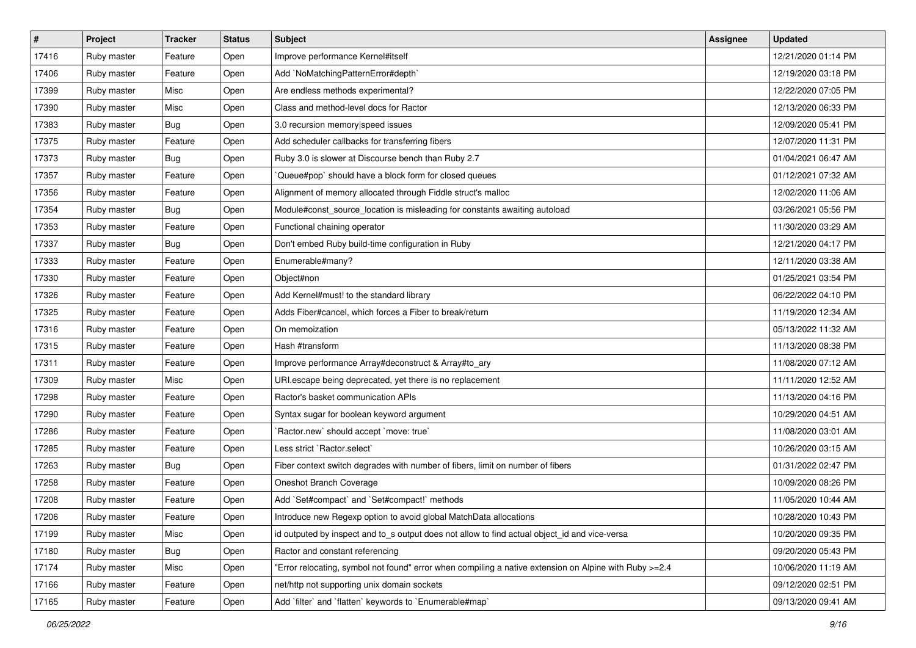| $\vert$ # | Project     | <b>Tracker</b> | <b>Status</b> | Subject                                                                                                | <b>Assignee</b> | <b>Updated</b>      |
|-----------|-------------|----------------|---------------|--------------------------------------------------------------------------------------------------------|-----------------|---------------------|
| 17416     | Ruby master | Feature        | Open          | Improve performance Kernel#itself                                                                      |                 | 12/21/2020 01:14 PM |
| 17406     | Ruby master | Feature        | Open          | Add `NoMatchingPatternError#depth`                                                                     |                 | 12/19/2020 03:18 PM |
| 17399     | Ruby master | Misc           | Open          | Are endless methods experimental?                                                                      |                 | 12/22/2020 07:05 PM |
| 17390     | Ruby master | Misc           | Open          | Class and method-level docs for Ractor                                                                 |                 | 12/13/2020 06:33 PM |
| 17383     | Ruby master | <b>Bug</b>     | Open          | 3.0 recursion memory speed issues                                                                      |                 | 12/09/2020 05:41 PM |
| 17375     | Ruby master | Feature        | Open          | Add scheduler callbacks for transferring fibers                                                        |                 | 12/07/2020 11:31 PM |
| 17373     | Ruby master | <b>Bug</b>     | Open          | Ruby 3.0 is slower at Discourse bench than Ruby 2.7                                                    |                 | 01/04/2021 06:47 AM |
| 17357     | Ruby master | Feature        | Open          | Queue#pop` should have a block form for closed queues                                                  |                 | 01/12/2021 07:32 AM |
| 17356     | Ruby master | Feature        | Open          | Alignment of memory allocated through Fiddle struct's malloc                                           |                 | 12/02/2020 11:06 AM |
| 17354     | Ruby master | <b>Bug</b>     | Open          | Module#const_source_location is misleading for constants awaiting autoload                             |                 | 03/26/2021 05:56 PM |
| 17353     | Ruby master | Feature        | Open          | Functional chaining operator                                                                           |                 | 11/30/2020 03:29 AM |
| 17337     | Ruby master | <b>Bug</b>     | Open          | Don't embed Ruby build-time configuration in Ruby                                                      |                 | 12/21/2020 04:17 PM |
| 17333     | Ruby master | Feature        | Open          | Enumerable#many?                                                                                       |                 | 12/11/2020 03:38 AM |
| 17330     | Ruby master | Feature        | Open          | Object#non                                                                                             |                 | 01/25/2021 03:54 PM |
| 17326     | Ruby master | Feature        | Open          | Add Kernel#must! to the standard library                                                               |                 | 06/22/2022 04:10 PM |
| 17325     | Ruby master | Feature        | Open          | Adds Fiber#cancel, which forces a Fiber to break/return                                                |                 | 11/19/2020 12:34 AM |
| 17316     | Ruby master | Feature        | Open          | On memoization                                                                                         |                 | 05/13/2022 11:32 AM |
| 17315     | Ruby master | Feature        | Open          | Hash #transform                                                                                        |                 | 11/13/2020 08:38 PM |
| 17311     | Ruby master | Feature        | Open          | Improve performance Array#deconstruct & Array#to_ary                                                   |                 | 11/08/2020 07:12 AM |
| 17309     | Ruby master | Misc           | Open          | URI.escape being deprecated, yet there is no replacement                                               |                 | 11/11/2020 12:52 AM |
| 17298     | Ruby master | Feature        | Open          | Ractor's basket communication APIs                                                                     |                 | 11/13/2020 04:16 PM |
| 17290     | Ruby master | Feature        | Open          | Syntax sugar for boolean keyword argument                                                              |                 | 10/29/2020 04:51 AM |
| 17286     | Ruby master | Feature        | Open          | 'Ractor.new' should accept 'move: true'                                                                |                 | 11/08/2020 03:01 AM |
| 17285     | Ruby master | Feature        | Open          | Less strict `Ractor.select`                                                                            |                 | 10/26/2020 03:15 AM |
| 17263     | Ruby master | Bug            | Open          | Fiber context switch degrades with number of fibers, limit on number of fibers                         |                 | 01/31/2022 02:47 PM |
| 17258     | Ruby master | Feature        | Open          | Oneshot Branch Coverage                                                                                |                 | 10/09/2020 08:26 PM |
| 17208     | Ruby master | Feature        | Open          | Add `Set#compact` and `Set#compact!` methods                                                           |                 | 11/05/2020 10:44 AM |
| 17206     | Ruby master | Feature        | Open          | Introduce new Regexp option to avoid global MatchData allocations                                      |                 | 10/28/2020 10:43 PM |
| 17199     | Ruby master | Misc           | Open          | id outputed by inspect and to s output does not allow to find actual object id and vice-versa          |                 | 10/20/2020 09:35 PM |
| 17180     | Ruby master | <b>Bug</b>     | Open          | Ractor and constant referencing                                                                        |                 | 09/20/2020 05:43 PM |
| 17174     | Ruby master | Misc           | Open          | "Error relocating, symbol not found" error when compiling a native extension on Alpine with Ruby >=2.4 |                 | 10/06/2020 11:19 AM |
| 17166     | Ruby master | Feature        | Open          | net/http not supporting unix domain sockets                                                            |                 | 09/12/2020 02:51 PM |
| 17165     | Ruby master | Feature        | Open          | Add 'filter' and 'flatten' keywords to 'Enumerable#map'                                                |                 | 09/13/2020 09:41 AM |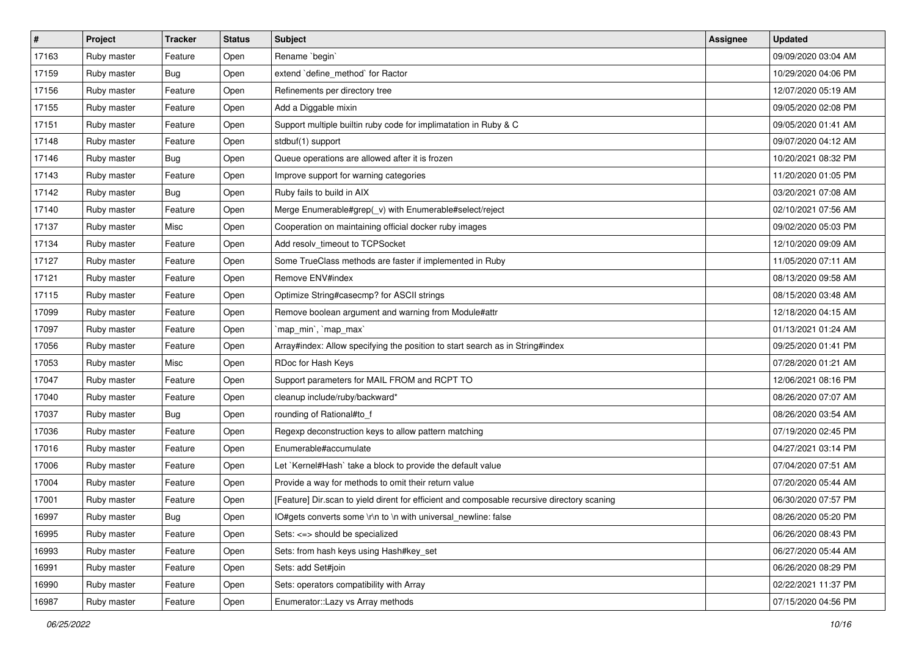| $\vert$ # | Project     | <b>Tracker</b> | <b>Status</b> | Subject                                                                                     | <b>Assignee</b> | <b>Updated</b>      |
|-----------|-------------|----------------|---------------|---------------------------------------------------------------------------------------------|-----------------|---------------------|
| 17163     | Ruby master | Feature        | Open          | Rename `begin`                                                                              |                 | 09/09/2020 03:04 AM |
| 17159     | Ruby master | <b>Bug</b>     | Open          | extend `define_method` for Ractor                                                           |                 | 10/29/2020 04:06 PM |
| 17156     | Ruby master | Feature        | Open          | Refinements per directory tree                                                              |                 | 12/07/2020 05:19 AM |
| 17155     | Ruby master | Feature        | Open          | Add a Diggable mixin                                                                        |                 | 09/05/2020 02:08 PM |
| 17151     | Ruby master | Feature        | Open          | Support multiple builtin ruby code for implimatation in Ruby & C                            |                 | 09/05/2020 01:41 AM |
| 17148     | Ruby master | Feature        | Open          | stdbuf(1) support                                                                           |                 | 09/07/2020 04:12 AM |
| 17146     | Ruby master | <b>Bug</b>     | Open          | Queue operations are allowed after it is frozen                                             |                 | 10/20/2021 08:32 PM |
| 17143     | Ruby master | Feature        | Open          | Improve support for warning categories                                                      |                 | 11/20/2020 01:05 PM |
| 17142     | Ruby master | <b>Bug</b>     | Open          | Ruby fails to build in AIX                                                                  |                 | 03/20/2021 07:08 AM |
| 17140     | Ruby master | Feature        | Open          | Merge Enumerable#grep(_v) with Enumerable#select/reject                                     |                 | 02/10/2021 07:56 AM |
| 17137     | Ruby master | Misc           | Open          | Cooperation on maintaining official docker ruby images                                      |                 | 09/02/2020 05:03 PM |
| 17134     | Ruby master | Feature        | Open          | Add resolv_timeout to TCPSocket                                                             |                 | 12/10/2020 09:09 AM |
| 17127     | Ruby master | Feature        | Open          | Some TrueClass methods are faster if implemented in Ruby                                    |                 | 11/05/2020 07:11 AM |
| 17121     | Ruby master | Feature        | Open          | Remove ENV#index                                                                            |                 | 08/13/2020 09:58 AM |
| 17115     | Ruby master | Feature        | Open          | Optimize String#casecmp? for ASCII strings                                                  |                 | 08/15/2020 03:48 AM |
| 17099     | Ruby master | Feature        | Open          | Remove boolean argument and warning from Module#attr                                        |                 | 12/18/2020 04:15 AM |
| 17097     | Ruby master | Feature        | Open          | `map_min`, `map_max`                                                                        |                 | 01/13/2021 01:24 AM |
| 17056     | Ruby master | Feature        | Open          | Array#index: Allow specifying the position to start search as in String#index               |                 | 09/25/2020 01:41 PM |
| 17053     | Ruby master | Misc           | Open          | RDoc for Hash Keys                                                                          |                 | 07/28/2020 01:21 AM |
| 17047     | Ruby master | Feature        | Open          | Support parameters for MAIL FROM and RCPT TO                                                |                 | 12/06/2021 08:16 PM |
| 17040     | Ruby master | Feature        | Open          | cleanup include/ruby/backward*                                                              |                 | 08/26/2020 07:07 AM |
| 17037     | Ruby master | <b>Bug</b>     | Open          | rounding of Rational#to_f                                                                   |                 | 08/26/2020 03:54 AM |
| 17036     | Ruby master | Feature        | Open          | Regexp deconstruction keys to allow pattern matching                                        |                 | 07/19/2020 02:45 PM |
| 17016     | Ruby master | Feature        | Open          | Enumerable#accumulate                                                                       |                 | 04/27/2021 03:14 PM |
| 17006     | Ruby master | Feature        | Open          | Let `Kernel#Hash` take a block to provide the default value                                 |                 | 07/04/2020 07:51 AM |
| 17004     | Ruby master | Feature        | Open          | Provide a way for methods to omit their return value                                        |                 | 07/20/2020 05:44 AM |
| 17001     | Ruby master | Feature        | Open          | [Feature] Dir.scan to yield dirent for efficient and composable recursive directory scaning |                 | 06/30/2020 07:57 PM |
| 16997     | Ruby master | <b>Bug</b>     | Open          | IO#gets converts some \r\n to \n with universal_newline: false                              |                 | 08/26/2020 05:20 PM |
| 16995     | Ruby master | Feature        | Open          | Sets: <=> should be specialized                                                             |                 | 06/26/2020 08:43 PM |
| 16993     | Ruby master | Feature        | Open          | Sets: from hash keys using Hash#key_set                                                     |                 | 06/27/2020 05:44 AM |
| 16991     | Ruby master | Feature        | Open          | Sets: add Set#join                                                                          |                 | 06/26/2020 08:29 PM |
| 16990     | Ruby master | Feature        | Open          | Sets: operators compatibility with Array                                                    |                 | 02/22/2021 11:37 PM |
| 16987     | Ruby master | Feature        | Open          | Enumerator::Lazy vs Array methods                                                           |                 | 07/15/2020 04:56 PM |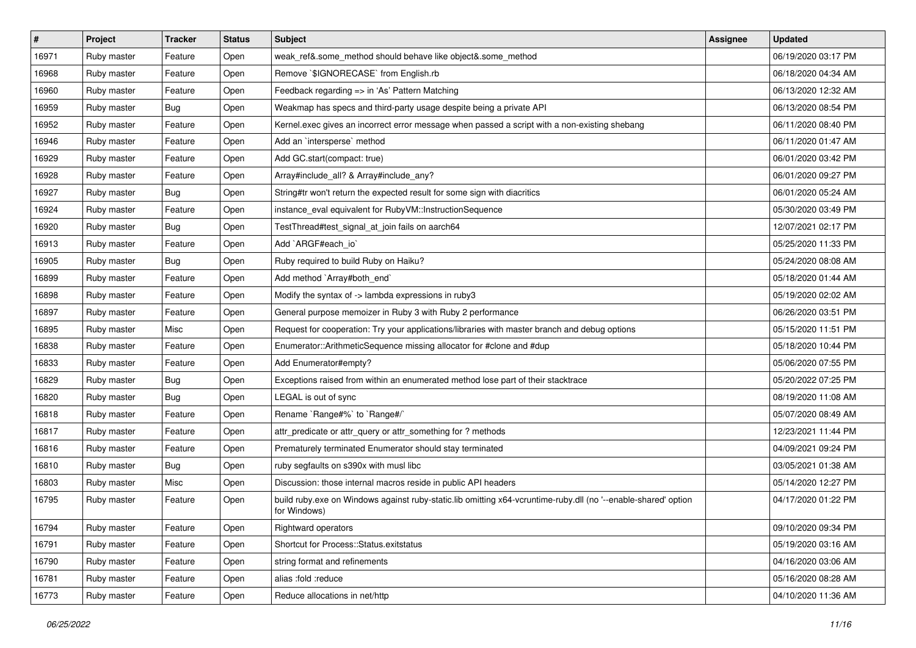| #     | Project     | <b>Tracker</b> | <b>Status</b> | <b>Subject</b>                                                                                                                 | Assignee | <b>Updated</b>      |
|-------|-------------|----------------|---------------|--------------------------------------------------------------------------------------------------------------------------------|----------|---------------------|
| 16971 | Ruby master | Feature        | Open          | weak_ref&.some_method should behave like object&.some_method                                                                   |          | 06/19/2020 03:17 PM |
| 16968 | Ruby master | Feature        | Open          | Remove `\$IGNORECASE` from English.rb                                                                                          |          | 06/18/2020 04:34 AM |
| 16960 | Ruby master | Feature        | Open          | Feedback regarding => in 'As' Pattern Matching                                                                                 |          | 06/13/2020 12:32 AM |
| 16959 | Ruby master | Bug            | Open          | Weakmap has specs and third-party usage despite being a private API                                                            |          | 06/13/2020 08:54 PM |
| 16952 | Ruby master | Feature        | Open          | Kernel.exec gives an incorrect error message when passed a script with a non-existing shebang                                  |          | 06/11/2020 08:40 PM |
| 16946 | Ruby master | Feature        | Open          | Add an `intersperse` method                                                                                                    |          | 06/11/2020 01:47 AM |
| 16929 | Ruby master | Feature        | Open          | Add GC.start(compact: true)                                                                                                    |          | 06/01/2020 03:42 PM |
| 16928 | Ruby master | Feature        | Open          | Array#include_all? & Array#include_any?                                                                                        |          | 06/01/2020 09:27 PM |
| 16927 | Ruby master | Bug            | Open          | String#tr won't return the expected result for some sign with diacritics                                                       |          | 06/01/2020 05:24 AM |
| 16924 | Ruby master | Feature        | Open          | instance_eval equivalent for RubyVM::InstructionSequence                                                                       |          | 05/30/2020 03:49 PM |
| 16920 | Ruby master | Bug            | Open          | TestThread#test_signal_at_join fails on aarch64                                                                                |          | 12/07/2021 02:17 PM |
| 16913 | Ruby master | Feature        | Open          | Add `ARGF#each_io`                                                                                                             |          | 05/25/2020 11:33 PM |
| 16905 | Ruby master | <b>Bug</b>     | Open          | Ruby required to build Ruby on Haiku?                                                                                          |          | 05/24/2020 08:08 AM |
| 16899 | Ruby master | Feature        | Open          | Add method `Array#both_end`                                                                                                    |          | 05/18/2020 01:44 AM |
| 16898 | Ruby master | Feature        | Open          | Modify the syntax of -> lambda expressions in ruby3                                                                            |          | 05/19/2020 02:02 AM |
| 16897 | Ruby master | Feature        | Open          | General purpose memoizer in Ruby 3 with Ruby 2 performance                                                                     |          | 06/26/2020 03:51 PM |
| 16895 | Ruby master | Misc           | Open          | Request for cooperation: Try your applications/libraries with master branch and debug options                                  |          | 05/15/2020 11:51 PM |
| 16838 | Ruby master | Feature        | Open          | Enumerator::ArithmeticSequence missing allocator for #clone and #dup                                                           |          | 05/18/2020 10:44 PM |
| 16833 | Ruby master | Feature        | Open          | Add Enumerator#empty?                                                                                                          |          | 05/06/2020 07:55 PM |
| 16829 | Ruby master | <b>Bug</b>     | Open          | Exceptions raised from within an enumerated method lose part of their stacktrace                                               |          | 05/20/2022 07:25 PM |
| 16820 | Ruby master | <b>Bug</b>     | Open          | LEGAL is out of sync                                                                                                           |          | 08/19/2020 11:08 AM |
| 16818 | Ruby master | Feature        | Open          | Rename `Range#%` to `Range#/`                                                                                                  |          | 05/07/2020 08:49 AM |
| 16817 | Ruby master | Feature        | Open          | attr_predicate or attr_query or attr_something for ? methods                                                                   |          | 12/23/2021 11:44 PM |
| 16816 | Ruby master | Feature        | Open          | Prematurely terminated Enumerator should stay terminated                                                                       |          | 04/09/2021 09:24 PM |
| 16810 | Ruby master | <b>Bug</b>     | Open          | ruby segfaults on s390x with musl libc                                                                                         |          | 03/05/2021 01:38 AM |
| 16803 | Ruby master | Misc           | Open          | Discussion: those internal macros reside in public API headers                                                                 |          | 05/14/2020 12:27 PM |
| 16795 | Ruby master | Feature        | Open          | build ruby.exe on Windows against ruby-static.lib omitting x64-vcruntime-ruby.dll (no '--enable-shared' option<br>for Windows) |          | 04/17/2020 01:22 PM |
| 16794 | Ruby master | Feature        | Open          | Rightward operators                                                                                                            |          | 09/10/2020 09:34 PM |
| 16791 | Ruby master | Feature        | Open          | Shortcut for Process::Status.exitstatus                                                                                        |          | 05/19/2020 03:16 AM |
| 16790 | Ruby master | Feature        | Open          | string format and refinements                                                                                                  |          | 04/16/2020 03:06 AM |
| 16781 | Ruby master | Feature        | Open          | alias :fold :reduce                                                                                                            |          | 05/16/2020 08:28 AM |
| 16773 | Ruby master | Feature        | Open          | Reduce allocations in net/http                                                                                                 |          | 04/10/2020 11:36 AM |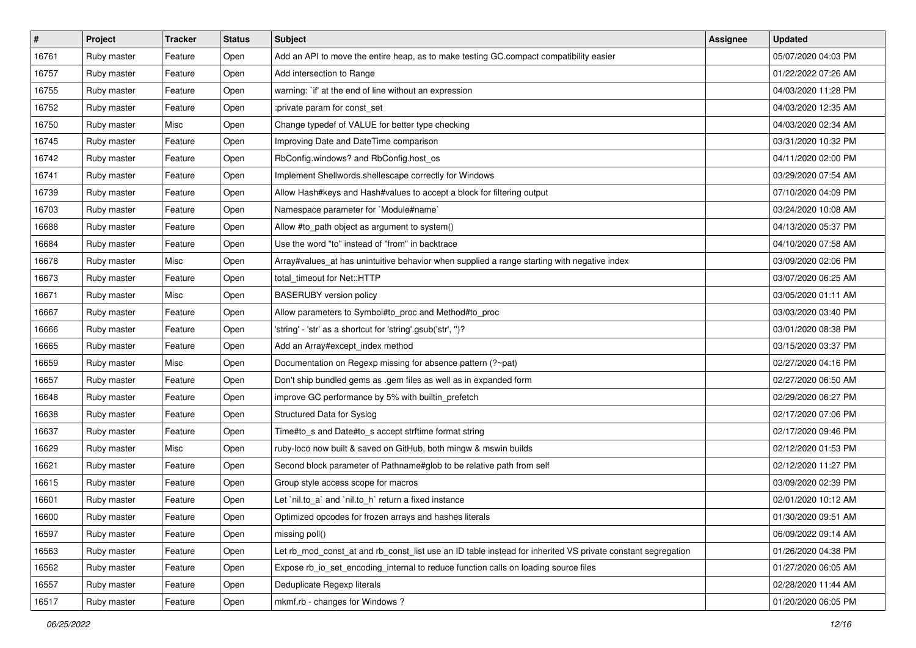| $\vert$ # | Project     | <b>Tracker</b> | <b>Status</b> | <b>Subject</b>                                                                                              | Assignee | <b>Updated</b>      |
|-----------|-------------|----------------|---------------|-------------------------------------------------------------------------------------------------------------|----------|---------------------|
| 16761     | Ruby master | Feature        | Open          | Add an API to move the entire heap, as to make testing GC.compact compatibility easier                      |          | 05/07/2020 04:03 PM |
| 16757     | Ruby master | Feature        | Open          | Add intersection to Range                                                                                   |          | 01/22/2022 07:26 AM |
| 16755     | Ruby master | Feature        | Open          | warning: `if' at the end of line without an expression                                                      |          | 04/03/2020 11:28 PM |
| 16752     | Ruby master | Feature        | Open          | :private param for const_set                                                                                |          | 04/03/2020 12:35 AM |
| 16750     | Ruby master | Misc           | Open          | Change typedef of VALUE for better type checking                                                            |          | 04/03/2020 02:34 AM |
| 16745     | Ruby master | Feature        | Open          | Improving Date and DateTime comparison                                                                      |          | 03/31/2020 10:32 PM |
| 16742     | Ruby master | Feature        | Open          | RbConfig.windows? and RbConfig.host_os                                                                      |          | 04/11/2020 02:00 PM |
| 16741     | Ruby master | Feature        | Open          | Implement Shellwords.shellescape correctly for Windows                                                      |          | 03/29/2020 07:54 AM |
| 16739     | Ruby master | Feature        | Open          | Allow Hash#keys and Hash#values to accept a block for filtering output                                      |          | 07/10/2020 04:09 PM |
| 16703     | Ruby master | Feature        | Open          | Namespace parameter for `Module#name`                                                                       |          | 03/24/2020 10:08 AM |
| 16688     | Ruby master | Feature        | Open          | Allow #to_path object as argument to system()                                                               |          | 04/13/2020 05:37 PM |
| 16684     | Ruby master | Feature        | Open          | Use the word "to" instead of "from" in backtrace                                                            |          | 04/10/2020 07:58 AM |
| 16678     | Ruby master | Misc           | Open          | Array#values_at has unintuitive behavior when supplied a range starting with negative index                 |          | 03/09/2020 02:06 PM |
| 16673     | Ruby master | Feature        | Open          | total timeout for Net::HTTP                                                                                 |          | 03/07/2020 06:25 AM |
| 16671     | Ruby master | Misc           | Open          | <b>BASERUBY</b> version policy                                                                              |          | 03/05/2020 01:11 AM |
| 16667     | Ruby master | Feature        | Open          | Allow parameters to Symbol#to_proc and Method#to_proc                                                       |          | 03/03/2020 03:40 PM |
| 16666     | Ruby master | Feature        | Open          | 'string' - 'str' as a shortcut for 'string'.gsub('str', ")?                                                 |          | 03/01/2020 08:38 PM |
| 16665     | Ruby master | Feature        | Open          | Add an Array#except_index method                                                                            |          | 03/15/2020 03:37 PM |
| 16659     | Ruby master | Misc           | Open          | Documentation on Regexp missing for absence pattern (?~pat)                                                 |          | 02/27/2020 04:16 PM |
| 16657     | Ruby master | Feature        | Open          | Don't ship bundled gems as .gem files as well as in expanded form                                           |          | 02/27/2020 06:50 AM |
| 16648     | Ruby master | Feature        | Open          | improve GC performance by 5% with builtin_prefetch                                                          |          | 02/29/2020 06:27 PM |
| 16638     | Ruby master | Feature        | Open          | Structured Data for Syslog                                                                                  |          | 02/17/2020 07:06 PM |
| 16637     | Ruby master | Feature        | Open          | Time#to_s and Date#to_s accept strftime format string                                                       |          | 02/17/2020 09:46 PM |
| 16629     | Ruby master | Misc           | Open          | ruby-loco now built & saved on GitHub, both mingw & mswin builds                                            |          | 02/12/2020 01:53 PM |
| 16621     | Ruby master | Feature        | Open          | Second block parameter of Pathname#glob to be relative path from self                                       |          | 02/12/2020 11:27 PM |
| 16615     | Ruby master | Feature        | Open          | Group style access scope for macros                                                                         |          | 03/09/2020 02:39 PM |
| 16601     | Ruby master | Feature        | Open          | Let `nil.to a` and `nil.to h` return a fixed instance                                                       |          | 02/01/2020 10:12 AM |
| 16600     | Ruby master | Feature        | Open          | Optimized opcodes for frozen arrays and hashes literals                                                     |          | 01/30/2020 09:51 AM |
| 16597     | Ruby master | Feature        | Open          | missing poll()                                                                                              |          | 06/09/2022 09:14 AM |
| 16563     | Ruby master | Feature        | Open          | Let rb_mod_const_at and rb_const_list use an ID table instead for inherited VS private constant segregation |          | 01/26/2020 04:38 PM |
| 16562     | Ruby master | Feature        | Open          | Expose rb_io_set_encoding_internal to reduce function calls on loading source files                         |          | 01/27/2020 06:05 AM |
| 16557     | Ruby master | Feature        | Open          | Deduplicate Regexp literals                                                                                 |          | 02/28/2020 11:44 AM |
| 16517     | Ruby master | Feature        | Open          | mkmf.rb - changes for Windows?                                                                              |          | 01/20/2020 06:05 PM |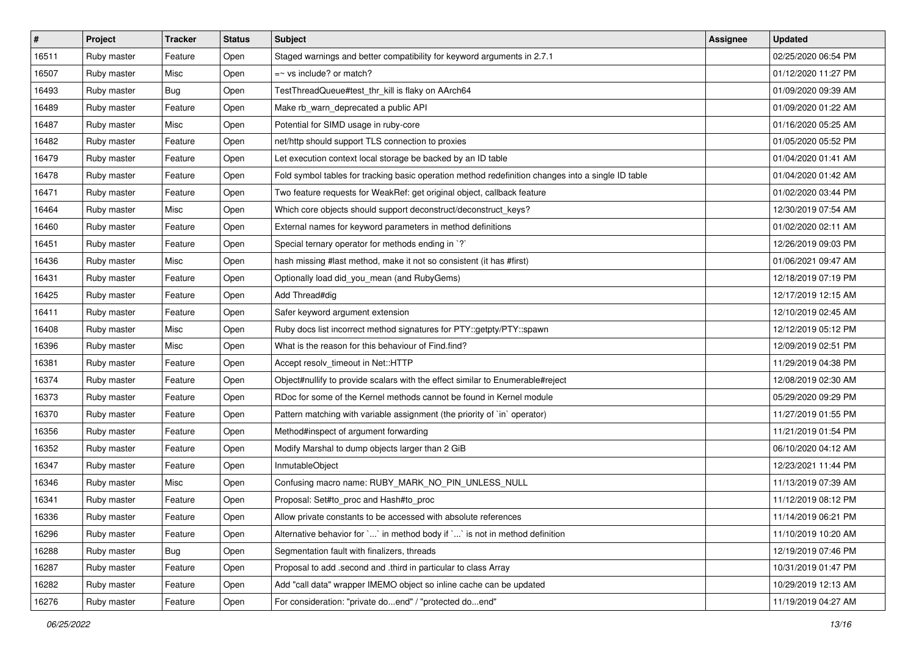| #     | Project     | <b>Tracker</b> | <b>Status</b> | <b>Subject</b>                                                                                     | Assignee | <b>Updated</b>      |
|-------|-------------|----------------|---------------|----------------------------------------------------------------------------------------------------|----------|---------------------|
| 16511 | Ruby master | Feature        | Open          | Staged warnings and better compatibility for keyword arguments in 2.7.1                            |          | 02/25/2020 06:54 PM |
| 16507 | Ruby master | Misc           | Open          | $=$ vs include? or match?                                                                          |          | 01/12/2020 11:27 PM |
| 16493 | Ruby master | Bug            | Open          | TestThreadQueue#test_thr_kill is flaky on AArch64                                                  |          | 01/09/2020 09:39 AM |
| 16489 | Ruby master | Feature        | Open          | Make rb_warn_deprecated a public API                                                               |          | 01/09/2020 01:22 AM |
| 16487 | Ruby master | Misc           | Open          | Potential for SIMD usage in ruby-core                                                              |          | 01/16/2020 05:25 AM |
| 16482 | Ruby master | Feature        | Open          | net/http should support TLS connection to proxies                                                  |          | 01/05/2020 05:52 PM |
| 16479 | Ruby master | Feature        | Open          | Let execution context local storage be backed by an ID table                                       |          | 01/04/2020 01:41 AM |
| 16478 | Ruby master | Feature        | Open          | Fold symbol tables for tracking basic operation method redefinition changes into a single ID table |          | 01/04/2020 01:42 AM |
| 16471 | Ruby master | Feature        | Open          | Two feature requests for WeakRef: get original object, callback feature                            |          | 01/02/2020 03:44 PM |
| 16464 | Ruby master | Misc           | Open          | Which core objects should support deconstruct/deconstruct_keys?                                    |          | 12/30/2019 07:54 AM |
| 16460 | Ruby master | Feature        | Open          | External names for keyword parameters in method definitions                                        |          | 01/02/2020 02:11 AM |
| 16451 | Ruby master | Feature        | Open          | Special ternary operator for methods ending in `?`                                                 |          | 12/26/2019 09:03 PM |
| 16436 | Ruby master | Misc           | Open          | hash missing #last method, make it not so consistent (it has #first)                               |          | 01/06/2021 09:47 AM |
| 16431 | Ruby master | Feature        | Open          | Optionally load did_you_mean (and RubyGems)                                                        |          | 12/18/2019 07:19 PM |
| 16425 | Ruby master | Feature        | Open          | Add Thread#dig                                                                                     |          | 12/17/2019 12:15 AM |
| 16411 | Ruby master | Feature        | Open          | Safer keyword argument extension                                                                   |          | 12/10/2019 02:45 AM |
| 16408 | Ruby master | Misc           | Open          | Ruby docs list incorrect method signatures for PTY::getpty/PTY::spawn                              |          | 12/12/2019 05:12 PM |
| 16396 | Ruby master | Misc           | Open          | What is the reason for this behaviour of Find.find?                                                |          | 12/09/2019 02:51 PM |
| 16381 | Ruby master | Feature        | Open          | Accept resolv_timeout in Net::HTTP                                                                 |          | 11/29/2019 04:38 PM |
| 16374 | Ruby master | Feature        | Open          | Object#nullify to provide scalars with the effect similar to Enumerable#reject                     |          | 12/08/2019 02:30 AM |
| 16373 | Ruby master | Feature        | Open          | RDoc for some of the Kernel methods cannot be found in Kernel module                               |          | 05/29/2020 09:29 PM |
| 16370 | Ruby master | Feature        | Open          | Pattern matching with variable assignment (the priority of `in` operator)                          |          | 11/27/2019 01:55 PM |
| 16356 | Ruby master | Feature        | Open          | Method#inspect of argument forwarding                                                              |          | 11/21/2019 01:54 PM |
| 16352 | Ruby master | Feature        | Open          | Modify Marshal to dump objects larger than 2 GiB                                                   |          | 06/10/2020 04:12 AM |
| 16347 | Ruby master | Feature        | Open          | InmutableObject                                                                                    |          | 12/23/2021 11:44 PM |
| 16346 | Ruby master | Misc           | Open          | Confusing macro name: RUBY_MARK_NO_PIN_UNLESS_NULL                                                 |          | 11/13/2019 07:39 AM |
| 16341 | Ruby master | Feature        | Open          | Proposal: Set#to_proc and Hash#to_proc                                                             |          | 11/12/2019 08:12 PM |
| 16336 | Ruby master | Feature        | Open          | Allow private constants to be accessed with absolute references                                    |          | 11/14/2019 06:21 PM |
| 16296 | Ruby master | Feature        | Open          | Alternative behavior for `` in method body if `` is not in method definition                       |          | 11/10/2019 10:20 AM |
| 16288 | Ruby master | Bug            | Open          | Segmentation fault with finalizers, threads                                                        |          | 12/19/2019 07:46 PM |
| 16287 | Ruby master | Feature        | Open          | Proposal to add .second and .third in particular to class Array                                    |          | 10/31/2019 01:47 PM |
| 16282 | Ruby master | Feature        | Open          | Add "call data" wrapper IMEMO object so inline cache can be updated                                |          | 10/29/2019 12:13 AM |
| 16276 | Ruby master | Feature        | Open          | For consideration: "private doend" / "protected doend"                                             |          | 11/19/2019 04:27 AM |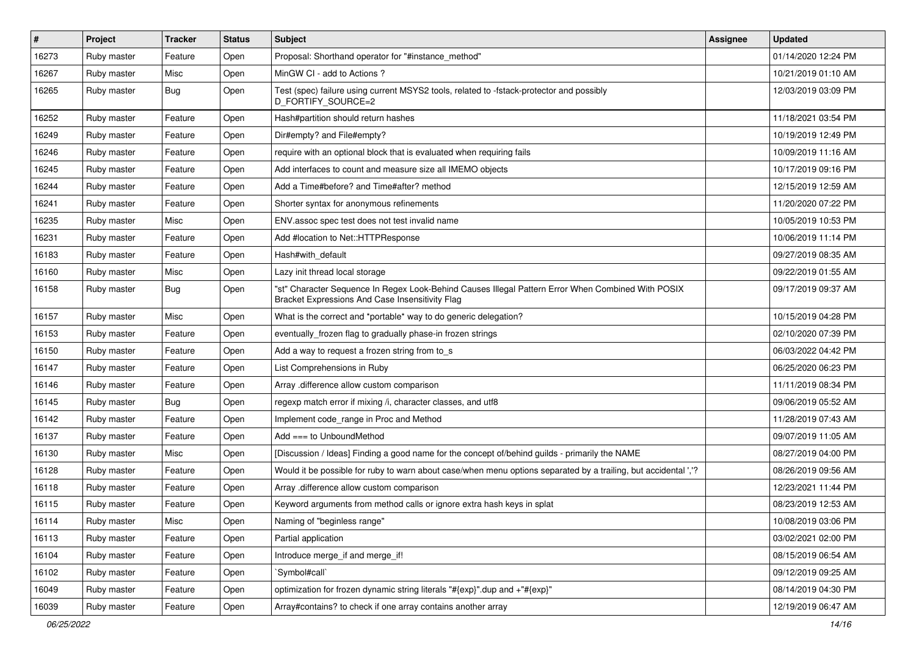| $\sharp$ | Project     | <b>Tracker</b> | <b>Status</b> | Subject                                                                                                                                               | Assignee | <b>Updated</b>      |
|----------|-------------|----------------|---------------|-------------------------------------------------------------------------------------------------------------------------------------------------------|----------|---------------------|
| 16273    | Ruby master | Feature        | Open          | Proposal: Shorthand operator for "#instance_method"                                                                                                   |          | 01/14/2020 12:24 PM |
| 16267    | Ruby master | Misc           | Open          | MinGW CI - add to Actions?                                                                                                                            |          | 10/21/2019 01:10 AM |
| 16265    | Ruby master | Bug            | Open          | Test (spec) failure using current MSYS2 tools, related to -fstack-protector and possibly<br><b>D FORTIFY SOURCE=2</b>                                 |          | 12/03/2019 03:09 PM |
| 16252    | Ruby master | Feature        | Open          | Hash#partition should return hashes                                                                                                                   |          | 11/18/2021 03:54 PM |
| 16249    | Ruby master | Feature        | Open          | Dir#empty? and File#empty?                                                                                                                            |          | 10/19/2019 12:49 PM |
| 16246    | Ruby master | Feature        | Open          | require with an optional block that is evaluated when requiring fails                                                                                 |          | 10/09/2019 11:16 AM |
| 16245    | Ruby master | Feature        | Open          | Add interfaces to count and measure size all IMEMO objects                                                                                            |          | 10/17/2019 09:16 PM |
| 16244    | Ruby master | Feature        | Open          | Add a Time#before? and Time#after? method                                                                                                             |          | 12/15/2019 12:59 AM |
| 16241    | Ruby master | Feature        | Open          | Shorter syntax for anonymous refinements                                                                                                              |          | 11/20/2020 07:22 PM |
| 16235    | Ruby master | Misc           | Open          | ENV assoc spec test does not test invalid name                                                                                                        |          | 10/05/2019 10:53 PM |
| 16231    | Ruby master | Feature        | Open          | Add #location to Net::HTTPResponse                                                                                                                    |          | 10/06/2019 11:14 PM |
| 16183    | Ruby master | Feature        | Open          | Hash#with_default                                                                                                                                     |          | 09/27/2019 08:35 AM |
| 16160    | Ruby master | Misc           | Open          | Lazy init thread local storage                                                                                                                        |          | 09/22/2019 01:55 AM |
| 16158    | Ruby master | <b>Bug</b>     | Open          | "st" Character Sequence In Regex Look-Behind Causes Illegal Pattern Error When Combined With POSIX<br>Bracket Expressions And Case Insensitivity Flag |          | 09/17/2019 09:37 AM |
| 16157    | Ruby master | Misc           | Open          | What is the correct and *portable* way to do generic delegation?                                                                                      |          | 10/15/2019 04:28 PM |
| 16153    | Ruby master | Feature        | Open          | eventually_frozen flag to gradually phase-in frozen strings                                                                                           |          | 02/10/2020 07:39 PM |
| 16150    | Ruby master | Feature        | Open          | Add a way to request a frozen string from to_s                                                                                                        |          | 06/03/2022 04:42 PM |
| 16147    | Ruby master | Feature        | Open          | List Comprehensions in Ruby                                                                                                                           |          | 06/25/2020 06:23 PM |
| 16146    | Ruby master | Feature        | Open          | Array .difference allow custom comparison                                                                                                             |          | 11/11/2019 08:34 PM |
| 16145    | Ruby master | Bug            | Open          | regexp match error if mixing /i, character classes, and utf8                                                                                          |          | 09/06/2019 05:52 AM |
| 16142    | Ruby master | Feature        | Open          | Implement code_range in Proc and Method                                                                                                               |          | 11/28/2019 07:43 AM |
| 16137    | Ruby master | Feature        | Open          | Add $==$ to UnboundMethod                                                                                                                             |          | 09/07/2019 11:05 AM |
| 16130    | Ruby master | Misc           | Open          | [Discussion / Ideas] Finding a good name for the concept of/behind guilds - primarily the NAME                                                        |          | 08/27/2019 04:00 PM |
| 16128    | Ruby master | Feature        | Open          | Would it be possible for ruby to warn about case/when menu options separated by a trailing, but accidental ','?                                       |          | 08/26/2019 09:56 AM |
| 16118    | Ruby master | Feature        | Open          | Array .difference allow custom comparison                                                                                                             |          | 12/23/2021 11:44 PM |
| 16115    | Ruby master | Feature        | Open          | Keyword arguments from method calls or ignore extra hash keys in splat                                                                                |          | 08/23/2019 12:53 AM |
| 16114    | Ruby master | Misc           | Open          | Naming of "beginless range"                                                                                                                           |          | 10/08/2019 03:06 PM |
| 16113    | Ruby master | Feature        | Open          | Partial application                                                                                                                                   |          | 03/02/2021 02:00 PM |
| 16104    | Ruby master | Feature        | Open          | Introduce merge_if and merge_if!                                                                                                                      |          | 08/15/2019 06:54 AM |
| 16102    | Ruby master | Feature        | Open          | `Symbol#call`                                                                                                                                         |          | 09/12/2019 09:25 AM |
| 16049    | Ruby master | Feature        | Open          | optimization for frozen dynamic string literals "#{exp}" dup and +"#{exp}"                                                                            |          | 08/14/2019 04:30 PM |
| 16039    | Ruby master | Feature        | Open          | Array#contains? to check if one array contains another array                                                                                          |          | 12/19/2019 06:47 AM |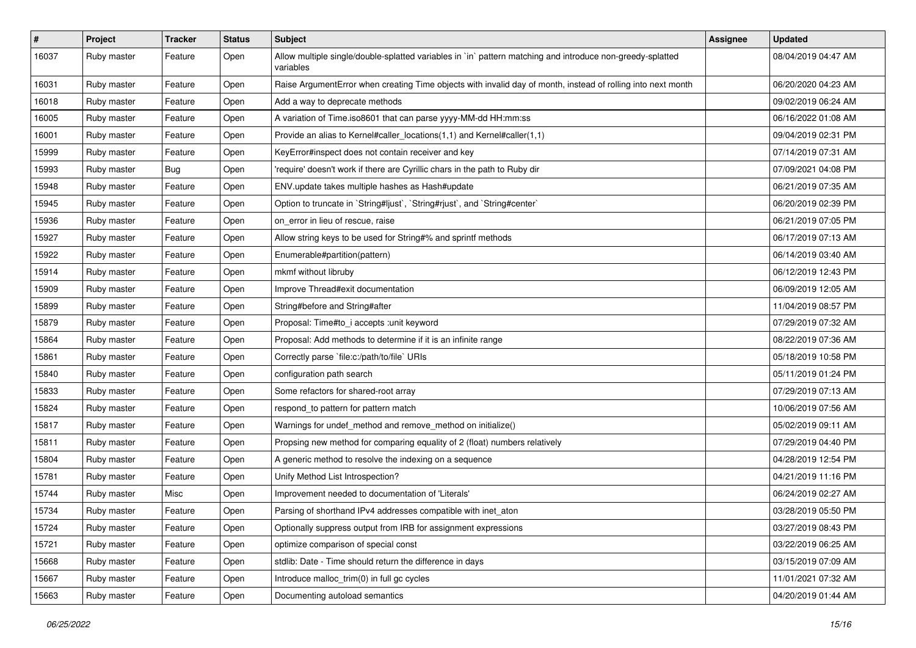| $\vert$ # | Project     | <b>Tracker</b> | <b>Status</b> | <b>Subject</b>                                                                                                          | Assignee | <b>Updated</b>      |
|-----------|-------------|----------------|---------------|-------------------------------------------------------------------------------------------------------------------------|----------|---------------------|
| 16037     | Ruby master | Feature        | Open          | Allow multiple single/double-splatted variables in `in` pattern matching and introduce non-greedy-splatted<br>variables |          | 08/04/2019 04:47 AM |
| 16031     | Ruby master | Feature        | Open          | Raise ArgumentError when creating Time objects with invalid day of month, instead of rolling into next month            |          | 06/20/2020 04:23 AM |
| 16018     | Ruby master | Feature        | Open          | Add a way to deprecate methods                                                                                          |          | 09/02/2019 06:24 AM |
| 16005     | Ruby master | Feature        | Open          | A variation of Time.iso8601 that can parse yyyy-MM-dd HH:mm:ss                                                          |          | 06/16/2022 01:08 AM |
| 16001     | Ruby master | Feature        | Open          | Provide an alias to Kernel#caller_locations(1,1) and Kernel#caller(1,1)                                                 |          | 09/04/2019 02:31 PM |
| 15999     | Ruby master | Feature        | Open          | KeyError#inspect does not contain receiver and key                                                                      |          | 07/14/2019 07:31 AM |
| 15993     | Ruby master | <b>Bug</b>     | Open          | 'require' doesn't work if there are Cyrillic chars in the path to Ruby dir                                              |          | 07/09/2021 04:08 PM |
| 15948     | Ruby master | Feature        | Open          | ENV.update takes multiple hashes as Hash#update                                                                         |          | 06/21/2019 07:35 AM |
| 15945     | Ruby master | Feature        | Open          | Option to truncate in `String#ljust`, `String#rjust`, and `String#center`                                               |          | 06/20/2019 02:39 PM |
| 15936     | Ruby master | Feature        | Open          | on error in lieu of rescue, raise                                                                                       |          | 06/21/2019 07:05 PM |
| 15927     | Ruby master | Feature        | Open          | Allow string keys to be used for String#% and sprintf methods                                                           |          | 06/17/2019 07:13 AM |
| 15922     | Ruby master | Feature        | Open          | Enumerable#partition(pattern)                                                                                           |          | 06/14/2019 03:40 AM |
| 15914     | Ruby master | Feature        | Open          | mkmf without libruby                                                                                                    |          | 06/12/2019 12:43 PM |
| 15909     | Ruby master | Feature        | Open          | Improve Thread#exit documentation                                                                                       |          | 06/09/2019 12:05 AM |
| 15899     | Ruby master | Feature        | Open          | String#before and String#after                                                                                          |          | 11/04/2019 08:57 PM |
| 15879     | Ruby master | Feature        | Open          | Proposal: Time#to_i accepts :unit keyword                                                                               |          | 07/29/2019 07:32 AM |
| 15864     | Ruby master | Feature        | Open          | Proposal: Add methods to determine if it is an infinite range                                                           |          | 08/22/2019 07:36 AM |
| 15861     | Ruby master | Feature        | Open          | Correctly parse `file:c:/path/to/file` URIs                                                                             |          | 05/18/2019 10:58 PM |
| 15840     | Ruby master | Feature        | Open          | configuration path search                                                                                               |          | 05/11/2019 01:24 PM |
| 15833     | Ruby master | Feature        | Open          | Some refactors for shared-root array                                                                                    |          | 07/29/2019 07:13 AM |
| 15824     | Ruby master | Feature        | Open          | respond_to pattern for pattern match                                                                                    |          | 10/06/2019 07:56 AM |
| 15817     | Ruby master | Feature        | Open          | Warnings for undef_method and remove_method on initialize()                                                             |          | 05/02/2019 09:11 AM |
| 15811     | Ruby master | Feature        | Open          | Propsing new method for comparing equality of 2 (float) numbers relatively                                              |          | 07/29/2019 04:40 PM |
| 15804     | Ruby master | Feature        | Open          | A generic method to resolve the indexing on a sequence                                                                  |          | 04/28/2019 12:54 PM |
| 15781     | Ruby master | Feature        | Open          | Unify Method List Introspection?                                                                                        |          | 04/21/2019 11:16 PM |
| 15744     | Ruby master | Misc           | Open          | Improvement needed to documentation of 'Literals'                                                                       |          | 06/24/2019 02:27 AM |
| 15734     | Ruby master | Feature        | Open          | Parsing of shorthand IPv4 addresses compatible with inet aton                                                           |          | 03/28/2019 05:50 PM |
| 15724     | Ruby master | Feature        | Open          | Optionally suppress output from IRB for assignment expressions                                                          |          | 03/27/2019 08:43 PM |
| 15721     | Ruby master | Feature        | Open          | optimize comparison of special const                                                                                    |          | 03/22/2019 06:25 AM |
| 15668     | Ruby master | Feature        | Open          | stdlib: Date - Time should return the difference in days                                                                |          | 03/15/2019 07:09 AM |
| 15667     | Ruby master | Feature        | Open          | Introduce malloc trim(0) in full gc cycles                                                                              |          | 11/01/2021 07:32 AM |
| 15663     | Ruby master | Feature        | Open          | Documenting autoload semantics                                                                                          |          | 04/20/2019 01:44 AM |